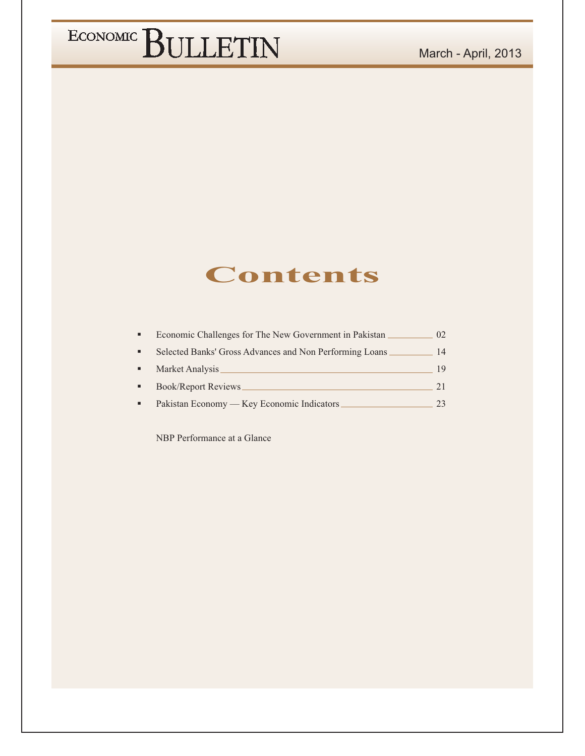### **Contents**

| Economic Challenges for The New Government in Pakistan  | 02 |
|---------------------------------------------------------|----|
| Selected Banks' Gross Advances and Non Performing Loans | 14 |
| Market Analysis                                         | 19 |
| Book/Report Reviews                                     | 21 |
| Pakistan Economy — Key Economic Indicators              |    |

NBP Performance at a Glance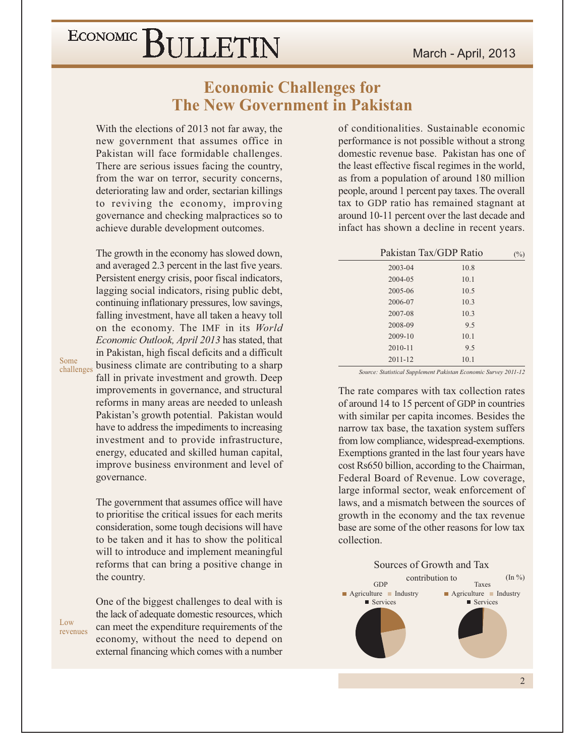### **Economic Challenges for The New Government in Pakistan**

With the elections of 2013 not far away, the new government that assumes office in Pakistan will face formidable challenges. There are serious issues facing the country, from the war on terror, security concerns, deteriorating law and order, sectarian killings to reviving the economy, improving governance and checking malpractices so to achieve durable development outcomes.

The growth in the economy has slowed down, and averaged 2.3 percent in the last five years. Persistent energy crisis, poor fiscal indicators, lagging social indicators, rising public debt, continuing inflationary pressures, low savings, falling investment, have all taken a heavy toll on the economy. The IMF in its World Economic Outlook, April 2013 has stated, that in Pakistan, high fiscal deficits and a difficult business climate are contributing to a sharp fall in private investment and growth. Deep improvements in governance, and structural reforms in many areas are needed to unleash Pakistan's growth potential. Pakistan would have to address the impediments to increasing investment and to provide infrastructure, energy, educated and skilled human capital, improve business environment and level of governance.

The government that assumes office will have to prioritise the critical issues for each merits consideration, some tough decisions will have to be taken and it has to show the political will to introduce and implement meaningful reforms that can bring a positive change in the country.

Low revenues

Some

challenges

One of the biggest challenges to deal with is the lack of adequate domestic resources, which can meet the expenditure requirements of the economy, without the need to depend on external financing which comes with a number of conditionalities. Sustainable economic performance is not possible without a strong domestic revenue base. Pakistan has one of the least effective fiscal regimes in the world, as from a population of around 180 million people, around 1 percent pay taxes. The overall tax to GDP ratio has remained stagnant at around 10-11 percent over the last decade and infact has shown a decline in recent years.

| Pakistan Tax/GDP Ratio |      | (°/0) |
|------------------------|------|-------|
| $2003 - 04$            | 10.8 |       |
| 2004-05                | 10.1 |       |
| 2005-06                | 10.5 |       |
| 2006-07                | 10.3 |       |
| 2007-08                | 10.3 |       |
| 2008-09                | 9.5  |       |
| 2009-10                | 10.1 |       |
| $2010 - 11$            | 9.5  |       |
| $2011 - 12$            | 10.1 |       |
|                        |      |       |

Source: Statistical Supplement Pakistan Economic Survey 2011-12

The rate compares with tax collection rates of around 14 to 15 percent of GDP in countries with similar per capita incomes. Besides the narrow tax base, the taxation system suffers from low compliance, widespread-exemptions. Exemptions granted in the last four years have cost Rs650 billion, according to the Chairman, Federal Board of Revenue. Low coverage, large informal sector, weak enforcement of laws, and a mismatch between the sources of growth in the economy and the tax revenue base are some of the other reasons for low tax collection.

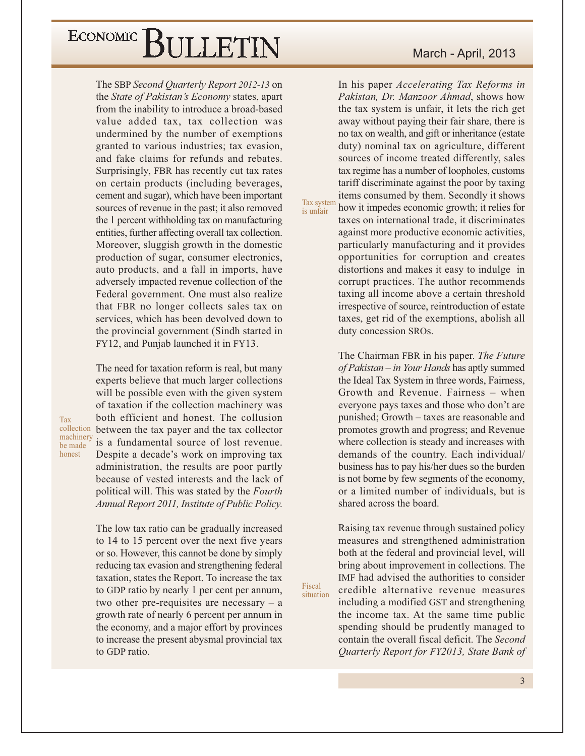The SBP Second Quarterly Report 2012-13 on the State of Pakistan's Economy states, apart from the inability to introduce a broad-based value added tax, tax collection was undermined by the number of exemptions granted to various industries; tax evasion, and fake claims for refunds and rebates. Surprisingly, FBR has recently cut tax rates on certain products (including beverages, cement and sugar), which have been important sources of revenue in the past; it also removed the 1 percent withholding tax on manufacturing entities, further affecting overall tax collection. Moreover, sluggish growth in the domestic production of sugar, consumer electronics, auto products, and a fall in imports, have adversely impacted revenue collection of the Federal government. One must also realize that FBR no longer collects sales tax on services, which has been devolved down to the provincial government (Sindh started in FY12, and Punjab launched it in FY13.

The need for taxation reform is real, but many experts believe that much larger collections will be possible even with the given system of taxation if the collection machinery was both efficient and honest. The collusion between the tax payer and the tax collector is a fundamental source of lost revenue. Despite a decade's work on improving tax administration, the results are poor partly because of vested interests and the lack of political will. This was stated by the Fourth Annual Report 2011, Institute of Public Policy.

Tax collection

machinery

be made

honest

The low tax ratio can be gradually increased to 14 to 15 percent over the next five years or so. However, this cannot be done by simply reducing tax evasion and strengthening federal taxation, states the Report. To increase the tax to GDP ratio by nearly 1 per cent per annum, two other pre-requisites are necessary  $-$  a growth rate of nearly 6 percent per annum in the economy, and a major effort by provinces to increase the present abysmal provincial tax to GDP ratio.

In his paper *Accelerating Tax Reforms in* Pakistan, Dr. Manzoor Ahmad, shows how the tax system is unfair, it lets the rich get away without paying their fair share, there is no tax on wealth, and gift or inheritance (estate duty) nominal tax on agriculture, different sources of income treated differently, sales tax regime has a number of loopholes, customs tariff discriminate against the poor by taxing items consumed by them. Secondly it shows how it impedes economic growth; it relies for

Tax system is unfair

Fiscal

situation

taxes on international trade, it discriminates against more productive economic activities, particularly manufacturing and it provides opportunities for corruption and creates distortions and makes it easy to indulge in corrupt practices. The author recommends taxing all income above a certain threshold irrespective of source, reintroduction of estate taxes, get rid of the exemptions, abolish all duty concession SROs.

The Chairman FBR in his paper. The Future of Pakistan – in Your Hands has aptly summed the Ideal Tax System in three words, Fairness, Growth and Revenue. Fairness - when everyone pays taxes and those who don't are punished; Growth – taxes are reasonable and promotes growth and progress; and Revenue where collection is steady and increases with demands of the country. Each individual/ business has to pay his/her dues so the burden is not borne by few segments of the economy, or a limited number of individuals, but is shared across the board.

Raising tax revenue through sustained policy measures and strengthened administration both at the federal and provincial level, will bring about improvement in collections. The IMF had advised the authorities to consider credible alternative revenue measures including a modified GST and strengthening the income tax. At the same time public spending should be prudently managed to contain the overall fiscal deficit. The Second Quarterly Report for FY2013, State Bank of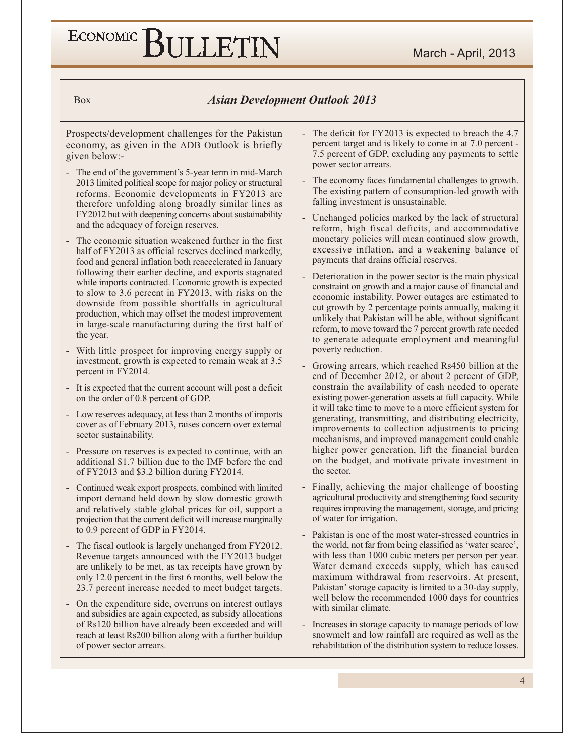#### **Asian Development Outlook 2013**

Prospects/development challenges for the Pakistan economy, as given in the ADB Outlook is briefly given below:-

**Box** 

- The end of the government's 5-year term in mid-March 2013 limited political scope for major policy or structural reforms. Economic developments in FY2013 are therefore unfolding along broadly similar lines as FY2012 but with deepening concerns about sustainability and the adequacy of foreign reserves.
- The economic situation weakened further in the first half of FY2013 as official reserves declined markedly, food and general inflation both reaccelerated in January following their earlier decline, and exports stagnated while imports contracted. Economic growth is expected to slow to 3.6 percent in FY2013, with risks on the downside from possible shortfalls in agricultural production, which may offset the modest improvement in large-scale manufacturing during the first half of the year.
- With little prospect for improving energy supply or investment, growth is expected to remain weak at 3.5 percent in FY2014.
- It is expected that the current account will post a deficit on the order of 0.8 percent of GDP.
- Low reserves adequacy, at less than 2 months of imports cover as of February 2013, raises concern over external sector sustainability.
- Pressure on reserves is expected to continue, with an additional \$1.7 billion due to the IMF before the end of FY2013 and \$3.2 billion during FY2014.
- Continued weak export prospects, combined with limited import demand held down by slow domestic growth and relatively stable global prices for oil, support a projection that the current deficit will increase marginally to 0.9 percent of GDP in FY2014.
- The fiscal outlook is largely unchanged from FY2012. Revenue targets announced with the FY2013 budget are unlikely to be met, as tax receipts have grown by only 12.0 percent in the first 6 months, well below the 23.7 percent increase needed to meet budget targets.
- On the expenditure side, overruns on interest outlays and subsidies are again expected, as subsidy allocations of Rs120 billion have already been exceeded and will reach at least Rs200 billion along with a further buildup of power sector arrears.
- The deficit for FY2013 is expected to breach the 4.7 percent target and is likely to come in at 7.0 percent -7.5 percent of GDP, excluding any payments to settle power sector arrears.
- The economy faces fundamental challenges to growth. The existing pattern of consumption-led growth with falling investment is unsustainable.
- Unchanged policies marked by the lack of structural reform, high fiscal deficits, and accommodative monetary policies will mean continued slow growth, excessive inflation, and a weakening balance of payments that drains official reserves.
- Deterioration in the power sector is the main physical constraint on growth and a major cause of financial and economic instability. Power outages are estimated to cut growth by 2 percentage points annually, making it unlikely that Pakistan will be able, without significant reform, to move toward the 7 percent growth rate needed to generate adequate employment and meaningful poverty reduction.
- Growing arrears, which reached Rs450 billion at the end of December 2012, or about 2 percent of GDP, constrain the availability of cash needed to operate existing power-generation assets at full capacity. While it will take time to move to a more efficient system for generating, transmitting, and distributing electricity, improvements to collection adjustments to pricing mechanisms, and improved management could enable higher power generation, lift the financial burden on the budget, and motivate private investment in the sector.
- Finally, achieving the major challenge of boosting agricultural productivity and strengthening food security requires improving the management, storage, and pricing of water for irrigation.
- Pakistan is one of the most water-stressed countries in the world, not far from being classified as 'water scarce', with less than 1000 cubic meters per person per year. Water demand exceeds supply, which has caused maximum withdrawal from reservoirs. At present, Pakistan' storage capacity is limited to a 30-day supply, well below the recommended 1000 days for countries with similar climate.
- Increases in storage capacity to manage periods of low snowmelt and low rainfall are required as well as the rehabilitation of the distribution system to reduce losses.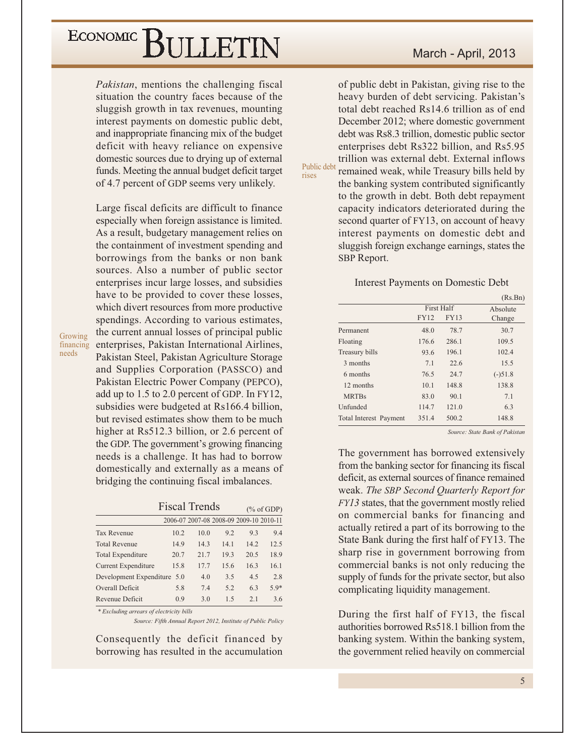*Pakistan*, mentions the challenging fiscal situation the country faces because of the sluggish growth in tax revenues, mounting interest payments on domestic public debt, and inappropriate financing mix of the budget deficit with heavy reliance on expensive domestic sources due to drying up of external funds. Meeting the annual budget deficit target of 4.7 percent of GDP seems very unlikely.

Large fiscal deficits are difficult to finance especially when foreign assistance is limited. As a result, budgetary management relies on the containment of investment spending and borrowings from the banks or non bank sources. Also a number of public sector enterprises incur large losses, and subsidies have to be provided to cover these losses, which divert resources from more productive spendings. According to various estimates, the current annual losses of principal public enterprises, Pakistan International Airlines, Pakistan Steel, Pakistan Agriculture Storage and Supplies Corporation (PASSCO) and Pakistan Electric Power Company (PEPCO), add up to 1.5 to 2.0 percent of GDP. In FY12, subsidies were budgeted at Rs166.4 billion, but revised estimates show them to be much higher at Rs512.3 billion, or 2.6 percent of the GDP. The government's growing financing needs is a challenge. It has had to borrow domestically and externally as a means of bridging the continuing fiscal imbalances.

Growing financing

needs

|                             | <b>Fiscal Trends</b> |                |      |                                         | $(\%$ of GDP) |
|-----------------------------|----------------------|----------------|------|-----------------------------------------|---------------|
|                             |                      |                |      | 2006-07 2007-08 2008-09 2009-10 2010-11 |               |
| <b>Tax Revenue</b>          | 10.2                 | 10.0           | 92   | 9.3                                     | 9.4           |
| <b>Total Revenue</b>        | 14.9                 | 14.3           | 14.1 | 14.2                                    | 12.5          |
| <b>Total Expenditure</b>    | 20.7                 | 21.7           | 19.3 | 20.5                                    | 18.9          |
| Current Expenditure         | 15.8                 | 17.7           | 15.6 | 16.3                                    | 16.1          |
| Development Expenditure 5.0 |                      | 4.0            | 3.5  | 4.5                                     | 2.8           |
| Overall Deficit             | 5.8                  | 7.4            | 5.2  | 6.3                                     | $5.9*$        |
| Revenue Deficit             | 0.9                  | 3 <sub>0</sub> | 15   | 2.1                                     | 3.6           |

\* Excluding arrears of electricity bills

Source: Fifth Annual Report 2012, Institute of Public Policy

Consequently the deficit financed by borrowing has resulted in the accumulation

#### March - April, 2013

of public debt in Pakistan, giving rise to the heavy burden of debt servicing. Pakistan's total debt reached Rs14.6 trillion as of end December 2012; where domestic government debt was Rs8.3 trillion, domestic public sector enterprises debt Rs322 billion, and Rs5.95 trillion was external debt. External inflows

Public debt rises

remained weak, while Treasury bills held by the banking system contributed significantly to the growth in debt. Both debt repayment capacity indicators deteriorated during the second quarter of FY13, on account of heavy interest payments on domestic debt and sluggish foreign exchange earnings, states the SBP Report.

#### **Interest Payments on Domestic Debt**

|                        |             |                   | (Rs.Bn)   |
|------------------------|-------------|-------------------|-----------|
|                        |             | <b>First Half</b> | Absolute  |
|                        | <b>FY12</b> | <b>FY13</b>       | Change    |
| Permanent              | 48.0        | 78.7              | 30.7      |
| Floating               | 176.6       | 286.1             | 109.5     |
| Treasury bills         | 93.6        | 196.1             | 102.4     |
| 3 months               | 7.1         | 22.6              | 15.5      |
| 6 months               | 76.5        | 24.7              | $(-)51.8$ |
| 12 months              | 10.1        | 148.8             | 138.8     |
| <b>MRTBs</b>           | 83.0        | 90.1              | 7.1       |
| Unfunded               | 114.7       | 121.0             | 6.3       |
| Total Interest Payment | 351.4       | 500.2             | 148.8     |

Source: State Bank of Pakistan

The government has borrowed extensively from the banking sector for financing its fiscal deficit, as external sources of finance remained weak. The SBP Second Quarterly Report for FY13 states, that the government mostly relied on commercial banks for financing and actually retired a part of its borrowing to the State Bank during the first half of FY13. The sharp rise in government borrowing from commercial banks is not only reducing the supply of funds for the private sector, but also complicating liquidity management.

During the first half of FY13, the fiscal authorities borrowed Rs518.1 billion from the banking system. Within the banking system, the government relied heavily on commercial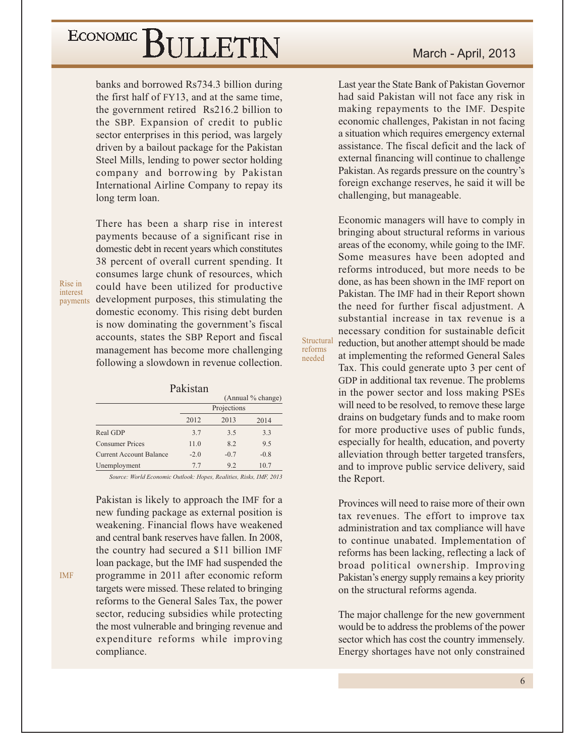banks and borrowed Rs734.3 billion during the first half of FY13, and at the same time, the government retired Rs216.2 billion to the SBP. Expansion of credit to public sector enterprises in this period, was largely driven by a bailout package for the Pakistan Steel Mills, lending to power sector holding company and borrowing by Pakistan International Airline Company to repay its long term loan.

There has been a sharp rise in interest payments because of a significant rise in domestic debt in recent years which constitutes 38 percent of overall current spending. It consumes large chunk of resources, which could have been utilized for productive payments development purposes, this stimulating the domestic economy. This rising debt burden is now dominating the government's fiscal accounts, states the SBP Report and fiscal management has become more challenging following a slowdown in revenue collection.

Rise in interest

**IMF** 

#### Pakistan

|                                |        |             | (Annual % change) |
|--------------------------------|--------|-------------|-------------------|
|                                |        | Projections |                   |
|                                | 2012   | 2013        | 2014              |
| Real GDP                       | 3.7    | 3.5         | 3.3               |
| Consumer Prices                | 11.0   | 8.2         | 9.5               |
| <b>Current Account Balance</b> | $-2.0$ | $-0.7$      | $-0.8$            |
| Unemployment                   | 7.7    | 9.2         | 10.7              |
|                                |        |             |                   |

Source: World Economic Outlook: Hopes, Realities, Risks, IMF, 2013

Pakistan is likely to approach the IMF for a new funding package as external position is weakening. Financial flows have weakened and central bank reserves have fallen. In 2008, the country had secured a \$11 billion IMF loan package, but the IMF had suspended the programme in 2011 after economic reform targets were missed. These related to bringing reforms to the General Sales Tax, the power sector, reducing subsidies while protecting the most vulnerable and bringing revenue and expenditure reforms while improving compliance.

Last year the State Bank of Pakistan Governor had said Pakistan will not face any risk in making repayments to the IMF. Despite economic challenges, Pakistan in not facing a situation which requires emergency external assistance. The fiscal deficit and the lack of external financing will continue to challenge Pakistan. As regards pressure on the country's foreign exchange reserves, he said it will be challenging, but manageable.

Economic managers will have to comply in bringing about structural reforms in various areas of the economy, while going to the IMF. Some measures have been adopted and reforms introduced, but more needs to be done, as has been shown in the IMF report on Pakistan. The IMF had in their Report shown the need for further fiscal adjustment. A substantial increase in tax revenue is a necessary condition for sustainable deficit reduction, but another attempt should be made at implementing the reformed General Sales Tax. This could generate upto 3 per cent of GDP in additional tax revenue. The problems in the power sector and loss making PSEs will need to be resolved, to remove these large drains on budgetary funds and to make room for more productive uses of public funds, especially for health, education, and poverty alleviation through better targeted transfers, and to improve public service delivery, said the Report.

Structural

reforms

needed

Provinces will need to raise more of their own tax revenues. The effort to improve tax administration and tax compliance will have to continue unabated. Implementation of reforms has been lacking, reflecting a lack of broad political ownership. Improving Pakistan's energy supply remains a key priority on the structural reforms agenda.

The major challenge for the new government would be to address the problems of the power sector which has cost the country immensely. Energy shortages have not only constrained

6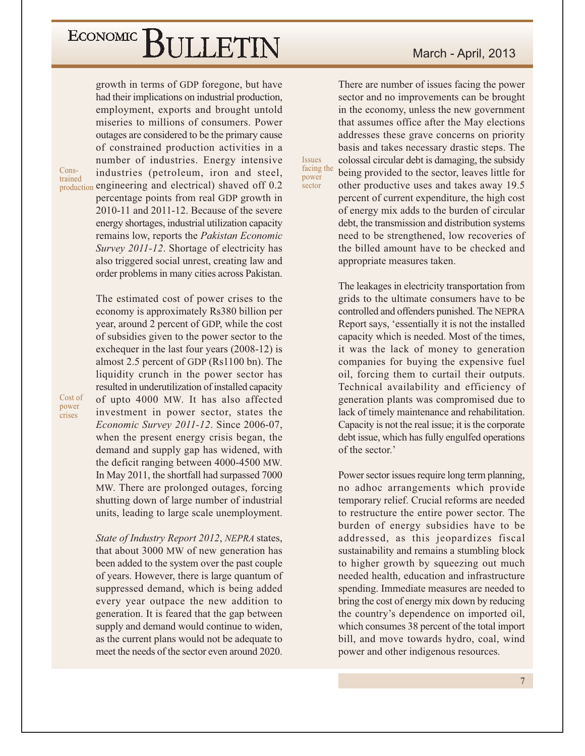growth in terms of GDP foregone, but have had their implications on industrial production, employment, exports and brought untold miseries to millions of consumers. Power outages are considered to be the primary cause of constrained production activities in a number of industries. Energy intensive industries (petroleum, iron and steel, production engineering and electrical) shaved off 0.2 percentage points from real GDP growth in 2010-11 and 2011-12. Because of the severe energy shortages, industrial utilization capacity remains low, reports the Pakistan Economic Survey 2011-12. Shortage of electricity has also triggered social unrest, creating law and order problems in many cities across Pakistan.

Constrained

> The estimated cost of power crises to the economy is approximately Rs380 billion per year, around 2 percent of GDP, while the cost of subsidies given to the power sector to the exchequer in the last four years (2008-12) is almost 2.5 percent of GDP (Rs1100 bn). The liquidity crunch in the power sector has resulted in underutilization of installed capacity of upto 4000 MW. It has also affected investment in power sector, states the Economic Survey 2011-12. Since 2006-07, when the present energy crisis began, the demand and supply gap has widened, with the deficit ranging between 4000-4500 MW. In May 2011, the shortfall had surpassed 7000 MW. There are prolonged outages, forcing shutting down of large number of industrial units, leading to large scale unemployment.

> State of Industry Report 2012, NEPRA states, that about 3000 MW of new generation has been added to the system over the past couple of years. However, there is large quantum of suppressed demand, which is being added every year outpace the new addition to generation. It is feared that the gap between supply and demand would continue to widen, as the current plans would not be adequate to meet the needs of the sector even around 2020.

#### March - April, 2013

There are number of issues facing the power sector and no improvements can be brought in the economy, unless the new government that assumes office after the May elections addresses these grave concerns on priority basis and takes necessary drastic steps. The colossal circular debt is damaging, the subsidy being provided to the sector, leaves little for other productive uses and takes away 19.5 percent of current expenditure, the high cost of energy mix adds to the burden of circular debt, the transmission and distribution systems need to be strengthened, low recoveries of the billed amount have to be checked and

appropriate measures taken.

**Issues** facing the

power

sector

The leakages in electricity transportation from grids to the ultimate consumers have to be controlled and offenders punished. The NEPRA Report says, 'essentially it is not the installed capacity which is needed. Most of the times, it was the lack of money to generation companies for buying the expensive fuel oil, forcing them to curtail their outputs. Technical availability and efficiency of generation plants was compromised due to lack of timely maintenance and rehabilitation. Capacity is not the real issue; it is the corporate debt issue, which has fully engulfed operations of the sector.'

Power sector issues require long term planning, no adhoc arrangements which provide temporary relief. Crucial reforms are needed to restructure the entire power sector. The burden of energy subsidies have to be addressed, as this jeopardizes fiscal sustainability and remains a stumbling block to higher growth by squeezing out much needed health, education and infrastructure spending. Immediate measures are needed to bring the cost of energy mix down by reducing the country's dependence on imported oil, which consumes 38 percent of the total import bill, and move towards hydro, coal, wind power and other indigenous resources.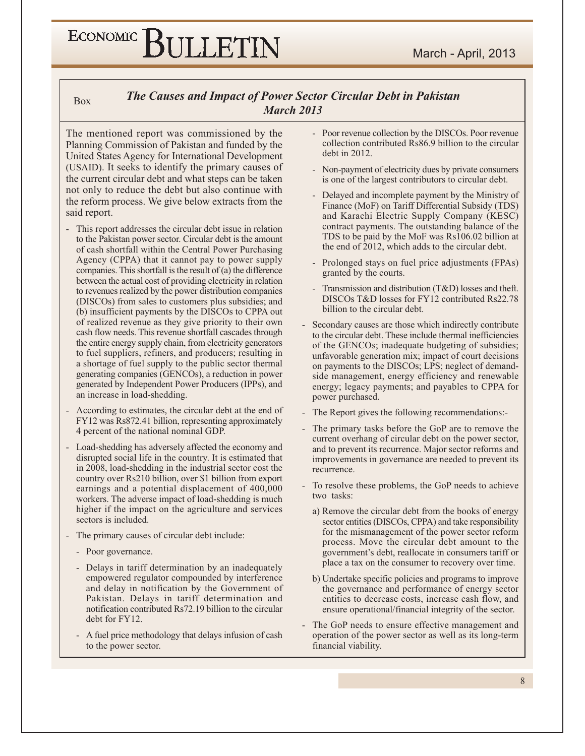#### **Box**

#### **The Causes and Impact of Power Sector Circular Debt in Pakistan March 2013**

The mentioned report was commissioned by the Planning Commission of Pakistan and funded by the United States Agency for International Development (USAID). It seeks to identify the primary causes of the current circular debt and what steps can be taken not only to reduce the debt but also continue with the reform process. We give below extracts from the said report.

- This report addresses the circular debt issue in relation to the Pakistan power sector. Circular debt is the amount of cash shortfall within the Central Power Purchasing Agency (CPPA) that it cannot pay to power supply companies. This shortfall is the result of  $(a)$  the difference between the actual cost of providing electricity in relation to revenues realized by the power distribution companies (DISCOs) from sales to customers plus subsidies; and (b) insufficient payments by the DISCOs to CPPA out of realized revenue as they give priority to their own cash flow needs. This revenue shortfall cascades through the entire energy supply chain, from electricity generators to fuel suppliers, refiners, and producers; resulting in a shortage of fuel supply to the public sector thermal generating companies (GENCOs), a reduction in power generated by Independent Power Producers (IPPs), and an increase in load-shedding.
- According to estimates, the circular debt at the end of FY12 was Rs872.41 billion, representing approximately 4 percent of the national nominal GDP.
- Load-shedding has adversely affected the economy and disrupted social life in the country. It is estimated that in 2008, load-shedding in the industrial sector cost the country over Rs210 billion, over \$1 billion from export earnings and a potential displacement of 400,000 workers. The adverse impact of load-shedding is much higher if the impact on the agriculture and services sectors is included.
- The primary causes of circular debt include:
	- Poor governance.
	- Delays in tariff determination by an inadequately empowered regulator compounded by interference and delay in notification by the Government of Pakistan. Delays in tariff determination and notification contributed Rs72.19 billion to the circular debt for FY12.
	- A fuel price methodology that delays infusion of cash to the power sector.
- Poor revenue collection by the DISCOs. Poor revenue collection contributed Rs86.9 billion to the circular debt in 2012.
- Non-payment of electricity dues by private consumers is one of the largest contributors to circular debt.
- Delayed and incomplete payment by the Ministry of Finance (MoF) on Tariff Differential Subsidy (TDS) and Karachi Electric Supply Company (KESC) contract payments. The outstanding balance of the TDS to be paid by the MoF was Rs106.02 billion at the end of 2012, which adds to the circular debt.
- Prolonged stays on fuel price adjustments (FPAs) granted by the courts.
- Transmission and distribution (T&D) losses and theft. DISCOs T&D losses for FY12 contributed Rs22.78 billion to the circular debt.
- Secondary causes are those which indirectly contribute to the circular debt. These include thermal inefficiencies of the GENCOs; inadequate budgeting of subsidies; unfavorable generation mix; impact of court decisions on payments to the DISCOs; LPS; neglect of demandside management, energy efficiency and renewable energy; legacy payments; and payables to CPPA for power purchased.
- The Report gives the following recommendations:-
- The primary tasks before the GoP are to remove the current overhang of circular debt on the power sector, and to prevent its recurrence. Major sector reforms and improvements in governance are needed to prevent its recurrence.
- To resolve these problems, the GoP needs to achieve two tasks:
	- a) Remove the circular debt from the books of energy sector entities (DISCOs, CPPA) and take responsibility for the mismanagement of the power sector reform process. Move the circular debt amount to the government's debt, reallocate in consumers tariff or place a tax on the consumer to recovery over time.
	- b) Undertake specific policies and programs to improve the governance and performance of energy sector entities to decrease costs, increase cash flow, and ensure operational/financial integrity of the sector.
- The GoP needs to ensure effective management and operation of the power sector as well as its long-term financial viability.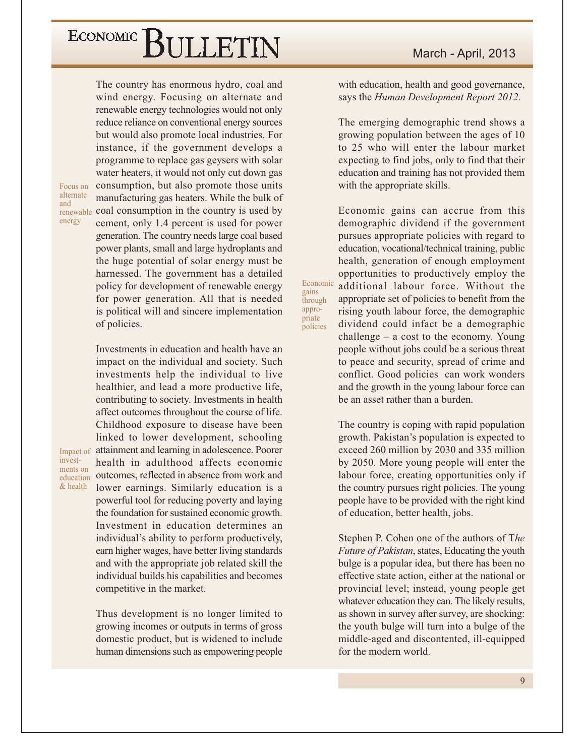The country has enormous hydro, coal and wind energy. Focusing on alternate and renewable energy technologies would not only reduce reliance on conventional energy sources but would also promote local industries. For instance, if the government develops a programme to replace gas geysers with solar water heaters, it would not only cut down gas consumption, but also promote those units manufacturing gas heaters. While the bulk of renewable coal consumption in the country is used by cement, only 1.4 percent is used for power generation. The country needs large coal based power plants, small and large hydroplants and the huge potential of solar energy must be harnessed. The government has a detailed policy for development of renewable energy for power generation. All that is needed is political will and sincere implementation of policies.

Investments in education and health have an impact on the individual and society. Such investments help the individual to live healthier, and lead a more productive life, contributing to society. Investments in health affect outcomes throughout the course of life. Childhood exposure to disease have been linked to lower development, schooling Impact of attainment and learning in adolescence. Poorer health in adulthood affects economic outcomes, reflected in absence from work and lower earnings. Similarly education is a powerful tool for reducing poverty and laying the foundation for sustained economic growth. Investment in education determines an individual's ability to perform productively, earn higher wages, have better living standards and with the appropriate job related skill the individual builds his capabilities and becomes competitive in the market.

> Thus development is no longer limited to growing incomes or outputs in terms of gross domestic product, but is widened to include human dimensions such as empowering people

with education, health and good governance, says the Human Development Report 2012.

The emerging demographic trend shows a growing population between the ages of 10 to 25 who will enter the labour market expecting to find jobs, only to find that their education and training has not provided them with the appropriate skills.

Economic gains can accrue from this demographic dividend if the government pursues appropriate policies with regard to education, vocational/technical training, public health, generation of enough employment opportunities to productively employ the additional labour force. Without the appropriate set of policies to benefit from the rising youth labour force, the demographic dividend could infact be a demographic challenge  $-$  a cost to the economy. Young people without jobs could be a serious threat to peace and security, spread of crime and conflict. Good policies can work wonders and the growth in the young labour force can be an asset rather than a burden.

Economic

gains

through appro-

priate

policies

The country is coping with rapid population growth. Pakistan's population is expected to exceed 260 million by 2030 and 335 million by 2050. More young people will enter the labour force, creating opportunities only if the country pursues right policies. The young people have to be provided with the right kind of education, better health, jobs.

Stephen P. Cohen one of the authors of The Future of Pakistan, states, Educating the youth bulge is a popular idea, but there has been no effective state action, either at the national or provincial level; instead, young people get whatever education they can. The likely results, as shown in survey after survey, are shocking: the youth bulge will turn into a bulge of the middle-aged and discontented, ill-equipped for the modern world.

Focus on alternate

and

energy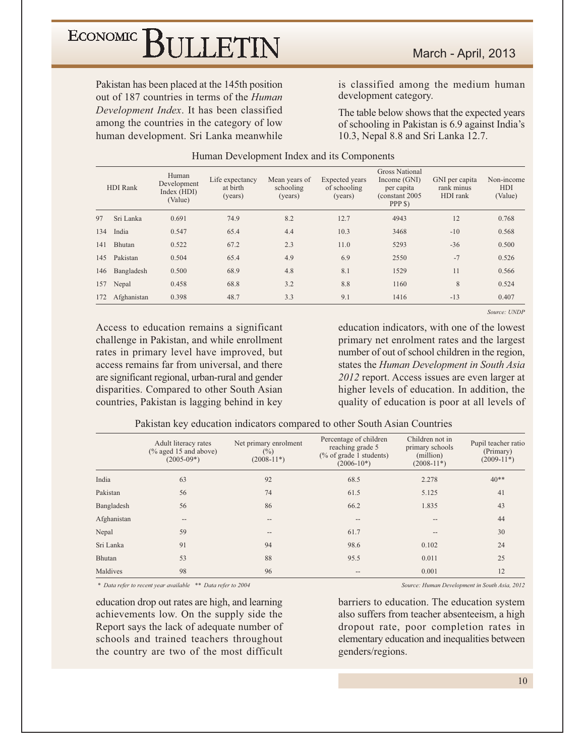Pakistan has been placed at the 145th position out of 187 countries in terms of the *Human* Development Index. It has been classified among the countries in the category of low human development. Sri Lanka meanwhile is classified among the medium human development category.

The table below shows that the expected years of schooling in Pakistan is 6.9 against India's 10.3, Nepal 8.8 and Sri Lanka 12.7.

| HDI Rank |               | Human<br>Development<br>Index (HDI)<br>(Value) | Life expectancy<br>at birth<br>(years) | Mean years of<br>schooling<br>(years) | Expected years<br>of schooling<br>(years) | <b>Gross National</b><br>Income (GNI)<br>per capita<br>(constant 2005)<br>PPP \$) | GNI per capita<br>rank minus<br>HDI rank | Non-income<br><b>HDI</b><br>(Value) |
|----------|---------------|------------------------------------------------|----------------------------------------|---------------------------------------|-------------------------------------------|-----------------------------------------------------------------------------------|------------------------------------------|-------------------------------------|
| 97       | Sri Lanka     | 0.691                                          | 74.9                                   | 8.2                                   | 12.7                                      | 4943                                                                              | 12                                       | 0.768                               |
| 134      | India         | 0.547                                          | 65.4                                   | 4.4                                   | 10.3                                      | 3468                                                                              | $-10$                                    | 0.568                               |
| 141      | <b>Bhutan</b> | 0.522                                          | 67.2                                   | 2.3                                   | 11.0                                      | 5293                                                                              | $-36$                                    | 0.500                               |
| 145      | Pakistan      | 0.504                                          | 65.4                                   | 4.9                                   | 6.9                                       | 2550                                                                              | $-7$                                     | 0.526                               |
| 146      | Bangladesh    | 0.500                                          | 68.9                                   | 4.8                                   | 8.1                                       | 1529                                                                              | 11                                       | 0.566                               |
| 157      | Nepal         | 0.458                                          | 68.8                                   | 3.2                                   | 8.8                                       | 1160                                                                              | 8                                        | 0.524                               |
| 172      | Afghanistan   | 0.398                                          | 48.7                                   | 3.3                                   | 9.1                                       | 1416                                                                              | $-13$                                    | 0.407                               |

#### Human Development Index and its Components

Access to education remains a significant challenge in Pakistan, and while enrollment rates in primary level have improved, but access remains far from universal, and there are significant regional, urban-rural and gender disparities. Compared to other South Asian countries, Pakistan is lagging behind in key

education indicators, with one of the lowest primary net enrolment rates and the largest number of out of school children in the region, states the Human Development in South Asia 2012 report. Access issues are even larger at higher levels of education. In addition, the quality of education is poor at all levels of

Source: UNDP

|             | Adult literacy rates<br>$(\%$ aged 15 and above)<br>$(2005-09*)$ | Net primary enrolment<br>$(\%)$<br>$(2008-11*)$ | Percentage of children<br>reaching grade 5<br>$\frac{6}{6}$ of grade 1 students)<br>$(2006-10^*)$ | Children not in<br>primary schools<br>(million)<br>$(2008-11*)$ | Pupil teacher ratio<br>(Primary)<br>$(2009-11*)$ |
|-------------|------------------------------------------------------------------|-------------------------------------------------|---------------------------------------------------------------------------------------------------|-----------------------------------------------------------------|--------------------------------------------------|
| India       | 63                                                               | 92                                              | 68.5                                                                                              | 2.278                                                           | $40**$                                           |
| Pakistan    | 56                                                               | 74                                              | 61.5                                                                                              | 5.125                                                           | 41                                               |
| Bangladesh  | 56                                                               | 86                                              | 66.2                                                                                              | 1.835                                                           | 43                                               |
| Afghanistan | $-$                                                              | $-$                                             | $-$                                                                                               |                                                                 | 44                                               |
| Nepal       | 59                                                               | $- -$                                           | 61.7                                                                                              |                                                                 | 30                                               |
| Sri Lanka   | 91                                                               | 94                                              | 98.6                                                                                              | 0.102                                                           | 24                                               |
| Bhutan      | 53                                                               | 88                                              | 95.5                                                                                              | 0.011                                                           | 25                                               |
| Maldives    | 98                                                               | 96                                              | $\qquad \qquad -$                                                                                 | 0.001                                                           | 12                                               |

Pakistan key education indicators compared to other South Asian Countries

\* Data refer to recent year available \*\* Data refer to 2004

education drop out rates are high, and learning achievements low. On the supply side the Report says the lack of adequate number of schools and trained teachers throughout the country are two of the most difficult Source: Human Development in South Asia, 2012

barriers to education. The education system also suffers from teacher absenteeism, a high dropout rate, poor completion rates in elementary education and inequalities between genders/regions.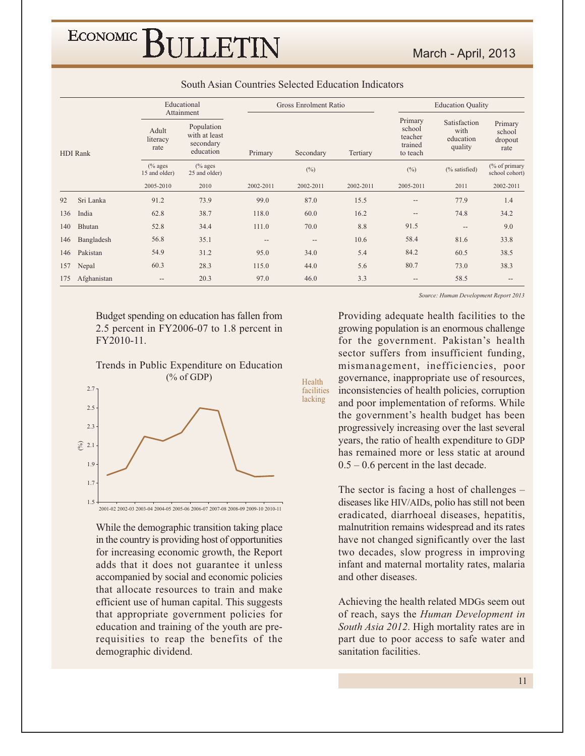ECONOMIC<sup>]</sup> BULLETIN

|                 |                 |                                                                                    | Educational<br>Attainment           |           | Gross Enrolment Ratio |           | <b>Education Quality</b>                                                                            |               |                                      |  |  |
|-----------------|-----------------|------------------------------------------------------------------------------------|-------------------------------------|-----------|-----------------------|-----------|-----------------------------------------------------------------------------------------------------|---------------|--------------------------------------|--|--|
| <b>HDI</b> Rank |                 | Population<br>Adult<br>with at least<br>literacy<br>secondary<br>rate<br>education |                                     | Primary   | Secondary             | Tertiary  | Primary<br>Satisfaction<br>school<br>with<br>teacher<br>education<br>trained<br>quality<br>to teach |               | Primary<br>school<br>dropout<br>rate |  |  |
|                 |                 | $%$ ages<br>15 and older)                                                          | $\frac{6}{6}$ ages<br>25 and older) |           | $(\%)$                |           | $(\%)$                                                                                              | (% satisfied) | (% of primary<br>school cohort)      |  |  |
|                 |                 | 2005-2010                                                                          | 2010                                | 2002-2011 | 2002-2011             | 2002-2011 | 2005-2011                                                                                           | 2011          | 2002-2011                            |  |  |
| 92              | Sri Lanka       | 91.2                                                                               | 73.9                                | 99.0      | 87.0                  | 15.5      | --                                                                                                  | 77.9          | 1.4                                  |  |  |
| 136             | India           | 62.8                                                                               | 38.7                                | 118.0     | 60.0                  | 16.2      | $\overline{\phantom{a}}$                                                                            | 74.8          | 34.2                                 |  |  |
| 140             | Bhutan          | 52.8                                                                               | 34.4                                | 111.0     | 70.0                  | 8.8       | 91.5                                                                                                | --            | 9.0                                  |  |  |
| 146             | Bangladesh      | 56.8                                                                               | 35.1                                | $- -$     | $-$                   | 10.6      | 58.4                                                                                                | 81.6          | 33.8                                 |  |  |
| 146             | Pakistan        | 54.9                                                                               | 31.2                                | 95.0      | 34.0                  | 5.4       | 84.2                                                                                                | 60.5          | 38.5                                 |  |  |
| 157             | Nepal           | 60.3                                                                               | 28.3                                | 115.0     | 44.0                  | 5.6       | 80.7                                                                                                | 73.0          | 38.3                                 |  |  |
|                 | 175 Afghanistan | $-\!$ $\!-$                                                                        | 20.3                                | 97.0      | 46.0                  | 3.3       | $-\,-$                                                                                              | 58.5          | $-\,-$                               |  |  |

Health

facilities lacking

#### South Asian Countries Selected Education Indicators

Budget spending on education has fallen from 2.5 percent in FY2006-07 to 1.8 percent in FY2010-11.





While the demographic transition taking place in the country is providing host of opportunities for increasing economic growth, the Report adds that it does not guarantee it unless accompanied by social and economic policies that allocate resources to train and make efficient use of human capital. This suggests that appropriate government policies for education and training of the youth are prerequisities to reap the benefits of the demographic dividend.

Source: Human Development Report 2013

March - April, 2013

Providing adequate health facilities to the growing population is an enormous challenge for the government. Pakistan's health sector suffers from insufficient funding, mismanagement, inefficiencies, poor governance, inappropriate use of resources, inconsistencies of health policies, corruption and poor implementation of reforms. While the government's health budget has been progressively increasing over the last several years, the ratio of health expenditure to GDP has remained more or less static at around  $0.5 - 0.6$  percent in the last decade.

The sector is facing a host of challenges  $$ diseases like HIV/AIDs, polio has still not been eradicated, diarrhoeal diseases, hepatitis, malnutrition remains widespread and its rates have not changed significantly over the last two decades, slow progress in improving infant and maternal mortality rates, malaria and other diseases.

Achieving the health related MDGs seem out of reach, says the Human Development in South Asia 2012. High mortality rates are in part due to poor access to safe water and sanitation facilities.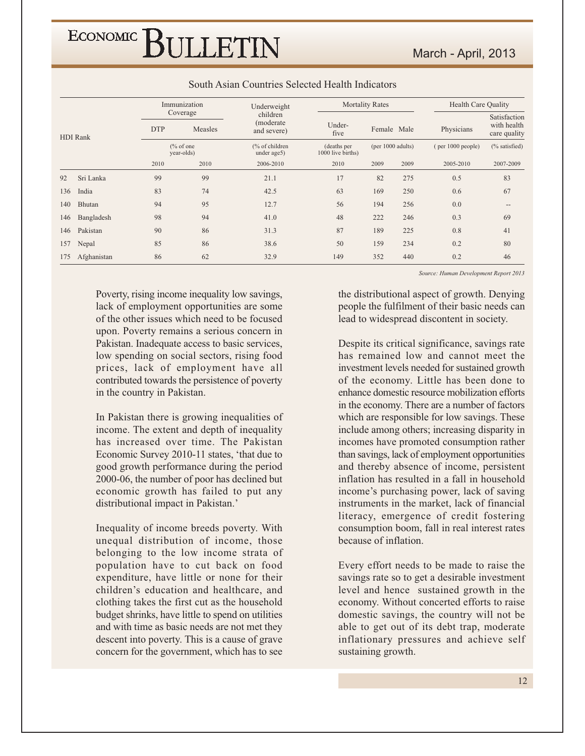|                 |             |            | Immunization                       | Underweight                           |                                  | <b>Mortality Rates</b> |      | <b>Health Care Quality</b> |                                             |  |
|-----------------|-------------|------------|------------------------------------|---------------------------------------|----------------------------------|------------------------|------|----------------------------|---------------------------------------------|--|
| <b>HDI</b> Rank |             | <b>DTP</b> | Coverage<br>Measles                | children<br>(moderate)<br>and severe) | Under-<br>five                   | Female Male            |      | Physicians                 | Satisfaction<br>with health<br>care quality |  |
|                 |             |            | $\frac{6}{6}$ of one<br>year-olds) | (% of children<br>under age5)         | (deaths per<br>1000 live births) | (per $1000$ adults)    |      | $($ per $1000$ people)     | (% satisfied)                               |  |
|                 |             | 2010       | 2010                               | 2006-2010                             | 2010                             | 2009                   | 2009 | 2005-2010                  | 2007-2009                                   |  |
| 92              | Sri Lanka   | 99         | 99                                 | 21.1                                  | 17                               | 82                     | 275  | 0.5                        | 83                                          |  |
| 136             | India       | 83         | 74                                 | 42.5                                  | 63                               | 169                    | 250  | 0.6                        | 67                                          |  |
| 140             | Bhutan      | 94         | 95                                 | 12.7                                  | 56                               | 194                    | 256  | 0.0                        | $\qquad \qquad -$                           |  |
| 146             | Bangladesh  | 98         | 94                                 | 41.0                                  | 48                               | 222                    | 246  | 0.3                        | 69                                          |  |
| 146             | Pakistan    | 90         | 86                                 | 31.3                                  | 87                               | 189                    | 225  | 0.8                        | 41                                          |  |
| 157             | Nepal       | 85         | 86                                 | 38.6                                  | 50                               | 159                    | 234  | 0.2                        | 80                                          |  |
| 175             | Afghanistan | 86         | 62                                 | 32.9                                  | 149                              | 352                    | 440  | 0.2                        | 46                                          |  |

#### South Asian Countries Selected Health Indicators

Poverty, rising income inequality low savings, lack of employment opportunities are some of the other issues which need to be focused upon. Poverty remains a serious concern in Pakistan. Inadequate access to basic services, low spending on social sectors, rising food prices, lack of employment have all contributed towards the persistence of poverty in the country in Pakistan.

In Pakistan there is growing inequalities of income. The extent and depth of inequality has increased over time. The Pakistan Economic Survey 2010-11 states, 'that due to good growth performance during the period 2000-06, the number of poor has declined but economic growth has failed to put any distributional impact in Pakistan.'

Inequality of income breeds poverty. With unequal distribution of income, those belonging to the low income strata of population have to cut back on food expenditure, have little or none for their children's education and healthcare, and clothing takes the first cut as the household budget shrinks, have little to spend on utilities and with time as basic needs are not met they descent into poverty. This is a cause of grave concern for the government, which has to see

Source: Human Development Report 2013

the distributional aspect of growth. Denying people the fulfilment of their basic needs can lead to widespread discontent in society.

Despite its critical significance, savings rate has remained low and cannot meet the investment levels needed for sustained growth of the economy. Little has been done to enhance domestic resource mobilization efforts in the economy. There are a number of factors which are responsible for low savings. These include among others; increasing disparity in incomes have promoted consumption rather than savings, lack of employment opportunities and thereby absence of income, persistent inflation has resulted in a fall in household income's purchasing power, lack of saving instruments in the market, lack of financial literacy, emergence of credit fostering consumption boom, fall in real interest rates because of inflation.

Every effort needs to be made to raise the savings rate so to get a desirable investment level and hence sustained growth in the economy. Without concerted efforts to raise domestic savings, the country will not be able to get out of its debt trap, moderate inflationary pressures and achieve self sustaining growth.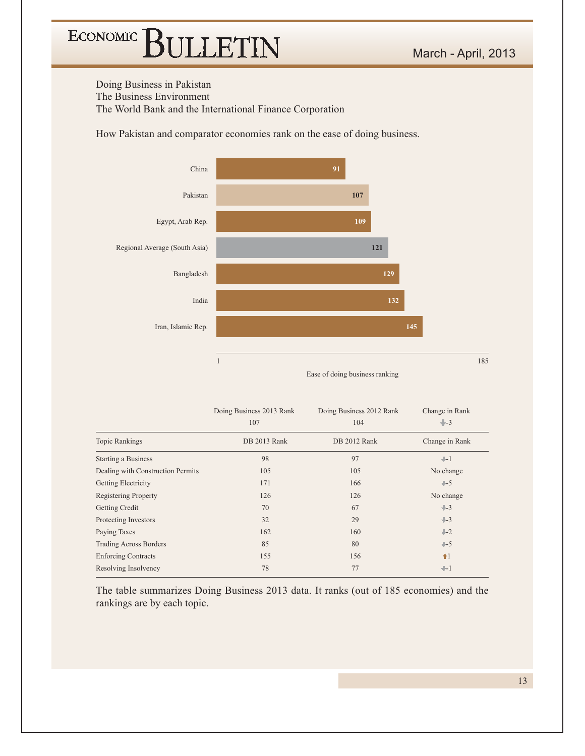Doing Business in Pakistan The Business Environment The World Bank and the International Finance Corporation

How Pakistan and comparator economies rank on the ease of doing business.



|                                   | Doing Business 2013 Rank<br>107 | Doing Business 2012 Rank<br>104 | Change in Rank<br>$+3$ |
|-----------------------------------|---------------------------------|---------------------------------|------------------------|
| <b>Topic Rankings</b>             | DB 2013 Rank                    | DB 2012 Rank                    | Change in Rank         |
| <b>Starting a Business</b>        | 98                              | 97                              | $+1$                   |
| Dealing with Construction Permits | 105                             | 105                             | No change              |
| Getting Electricity               | 171                             | 166                             | $+5$                   |
| <b>Registering Property</b>       | 126                             | 126                             | No change              |
| Getting Credit                    | 70                              | 67                              | $+-3$                  |
| Protecting Investors              | 32                              | 29                              | $+3$                   |
| Paying Taxes                      | 162                             | 160                             | $+2$                   |
| <b>Trading Across Borders</b>     | 85                              | 80                              | $+-5$                  |
| <b>Enforcing Contracts</b>        | 155                             | 156                             | $1$                    |
| Resolving Insolvency              | 78                              | 77                              | $+1$                   |

The table summarizes Doing Business 2013 data. It ranks (out of 185 economies) and the rankings are by each topic.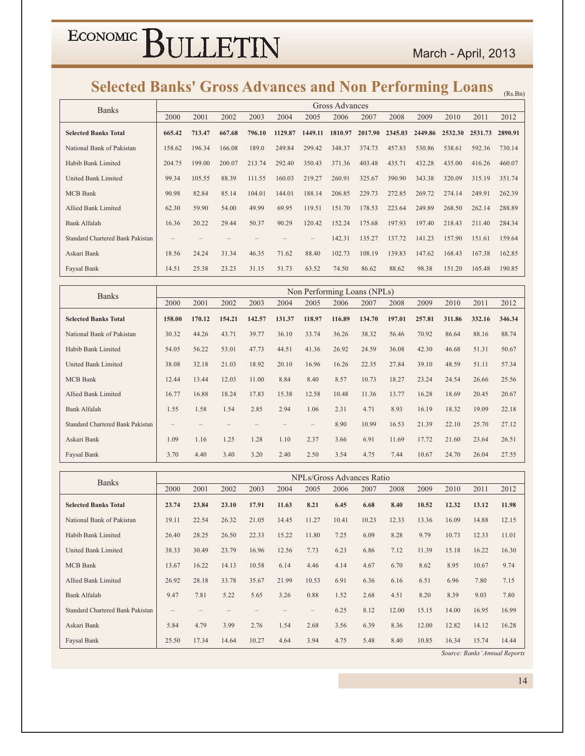### Selected Banks' Gross Advances and Non Performing Loans (Rs.Bn)

| <b>Banks</b>                     |        |        |        |        |         |         | Gross Advances |         |         |         |         |         |         |
|----------------------------------|--------|--------|--------|--------|---------|---------|----------------|---------|---------|---------|---------|---------|---------|
|                                  | 2000   | 2001   | 2002   | 2003   | 2004    | 2005    | 2006           | 2007    | 2008    | 2009    | 2010    | 2011    | 2012    |
| <b>Selected Banks Total</b>      | 665.42 | 713.47 | 667.68 | 796.10 | 1129.87 | 1449.11 | 1810.97        | 2017.90 | 2345.03 | 2449.86 | 2532.30 | 2531.73 | 2890.91 |
| National Bank of Pakistan        | 158.62 | 196.34 | 166.08 | 189.0  | 249.84  | 299.42  | 348.37         | 374.73  | 457.83  | 530.86  | 538.61  | 592.36  | 730.14  |
| Habib Bank Limited               | 204.75 | 199.00 | 200.07 | 213.74 | 292.40  | 350.43  | 371.36         | 403.48  | 435.71  | 432.28  | 435.00  | 416.26  | 460.07  |
| United Bank Limited              | 99.34  | 105.55 | 88.39  | 111.55 | 160.03  | 219.27  | 260.91         | 325.67  | 390.90  | 343.38  | 320.09  | 315.19  | 351.74  |
| <b>MCB</b> Bank                  | 90.98  | 82.84  | 85.14  | 104.01 | 144.01  | 188.14  | 206.85         | 229.73  | 272.85  | 269.72  | 274.14  | 249.91  | 262.39  |
| Allied Bank Limited              | 62.30  | 59.90  | 54.00  | 49.99  | 69.95   | 119.51  | 151.70         | 178.53  | 223.64  | 249.89  | 268.50  | 262.14  | 288.89  |
| Bank Alfalah                     | 16.36  | 20.22  | 29.44  | 50.37  | 90.29   | 120.42  | 152.24         | 175.68  | 197.93  | 197.40  | 218.43  | 211.40  | 284.34  |
| Standard Chartered Bank Pakistan |        |        |        |        |         |         | 142.31         | 135.27  | 137.72  | 141.23  | 157.90  | 151.61  | 159.64  |
| Askari Bank                      | 18.56  | 24.24  | 31.34  | 46.35  | 71.62   | 88.40   | 102.73         | 108.19  | 139.83  | 147.62  | 168.43  | 167.38  | 162.85  |
| Faysal Bank                      | 14.51  | 25.38  | 23.23  | 31.15  | 51.73   | 63.52   | 74.50          | 86.62   | 88.62   | 98.38   | 151.20  | 165.48  | 190.85  |

| <b>Banks</b>                            |                   |        |        |        |        |                   | Non Performing Loans (NPLs) |        |        |        |        |        |        |
|-----------------------------------------|-------------------|--------|--------|--------|--------|-------------------|-----------------------------|--------|--------|--------|--------|--------|--------|
|                                         | 2000              | 2001   | 2002   | 2003   | 2004   | 2005              | 2006                        | 2007   | 2008   | 2009   | 2010   | 2011   | 2012   |
| <b>Selected Banks Total</b>             | 158.00            | 170.12 | 154.21 | 142.57 | 131.37 | 118.97            | 116.89                      | 134.70 | 197.01 | 257.81 | 311.86 | 332.16 | 346.34 |
| National Bank of Pakistan               | 30.32             | 44.26  | 43.71  | 39.77  | 36.10  | 33.74             | 36.26                       | 38.32  | 56.46  | 70.92  | 86.64  | 88.16  | 88.74  |
| Habib Bank Limited                      | 54.05             | 56.22  | 53.01  | 47.73  | 44.51  | 41.36             | 26.92                       | 24.59  | 36.08  | 42.30  | 46.68  | 51.31  | 50.67  |
| United Bank Limited                     | 38.08             | 32.18  | 21.03  | 18.92  | 20.10  | 16.96             | 16.26                       | 22.35  | 27.84  | 39.10  | 48.59  | 51.11  | 57.34  |
| <b>MCB</b> Bank                         | 12.44             | 13.44  | 12.03  | 11.00  | 8.84   | 8.40              | 8.57                        | 10.73  | 18.27  | 23.24  | 24.54  | 26.66  | 25.56  |
| <b>Allied Bank Limited</b>              | 16.77             | 16.88  | 18.24  | 17.83  | 15.38  | 12.58             | 10.48                       | 11.36  | 13.77  | 16.28  | 18.69  | 20.45  | 20.67  |
| <b>Bank Alfalah</b>                     | 1.55              | 1.58   | 1.54   | 2.85   | 2.94   | 1.06              | 2.31                        | 4.71   | 8.93   | 16.19  | 18.32  | 19.09  | 22.18  |
| <b>Standard Chartered Bank Pakistan</b> | $\qquad \qquad -$ |        |        |        |        | $\qquad \qquad -$ | 8.90                        | 10.99  | 16.53  | 21.39  | 22.10  | 25.70  | 27.12  |
| Askari Bank                             | 1.09              | 1.16   | 1.25   | 1.28   | 1.10   | 2.37              | 3.66                        | 6.91   | 11.69  | 17.72  | 21.60  | 23.64  | 26.51  |
| Faysal Bank                             | 3.70              | 4.40   | 3.40   | 3.20   | 2.40   | 2.50              | 3.54                        | 4.75   | 7.44   | 10.67  | 24.70  | 26.04  | 27.55  |

| <b>Banks</b>                     |                   |       |       |       |       |                   |       | NPLs/Gross Advances Ratio |       |       |       |       |       |
|----------------------------------|-------------------|-------|-------|-------|-------|-------------------|-------|---------------------------|-------|-------|-------|-------|-------|
|                                  | 2000              | 2001  | 2002  | 2003  | 2004  | 2005              | 2006  | 2007                      | 2008  | 2009  | 2010  | 2011  | 2012  |
| <b>Selected Banks Total</b>      | 23.74             | 23.84 | 23.10 | 17.91 | 11.63 | 8.21              | 6.45  | 6.68                      | 8.40  | 10.52 | 12.32 | 13.12 | 11.98 |
| National Bank of Pakistan        | 19.11             | 22.54 | 26.32 | 21.05 | 14.45 | 11.27             | 10.41 | 10.23                     | 12.33 | 13.36 | 16.09 | 14.88 | 12.15 |
| Habib Bank Limited               | 26.40             | 28.25 | 26.50 | 22.33 | 15.22 | 11.80             | 7.25  | 6.09                      | 8.28  | 9.79  | 10.73 | 12.33 | 11.01 |
| United Bank Limited              | 38.33             | 30.49 | 23.79 | 16.96 | 12.56 | 7.73              | 6.23  | 6.86                      | 7.12  | 11.39 | 15.18 | 16.22 | 16.30 |
| <b>MCB</b> Bank                  | 13.67             | 16.22 | 14.13 | 10.58 | 6.14  | 4.46              | 4.14  | 4.67                      | 6.70  | 8.62  | 8.95  | 10.67 | 9.74  |
| Allied Bank Limited              | 26.92             | 28.18 | 33.78 | 35.67 | 21.99 | 10.53             | 6.91  | 6.36                      | 6.16  | 6.51  | 6.96  | 7.80  | 7.15  |
| Bank Alfalah                     | 9.47              | 7.81  | 5.22  | 5.65  | 3.26  | 0.88              | 1.52  | 2.68                      | 4.51  | 8.20  | 8.39  | 9.03  | 7.80  |
| Standard Chartered Bank Pakistan | $\qquad \qquad -$ |       |       |       |       | $\qquad \qquad -$ | 6.25  | 8.12                      | 12.00 | 15.15 | 14.00 | 16.95 | 16.99 |
| Askari Bank                      | 5.84              | 4.79  | 3.99  | 2.76  | 1.54  | 2.68              | 3.56  | 6.39                      | 8.36  | 12.00 | 12.82 | 14.12 | 16.28 |
| Faysal Bank                      | 25.50             | 17.34 | 14.64 | 10.27 | 4.64  | 3.94              | 4.75  | 5.48                      | 8.40  | 10.85 | 16.34 | 15.74 | 14.44 |

Source: Banks' Annual Reports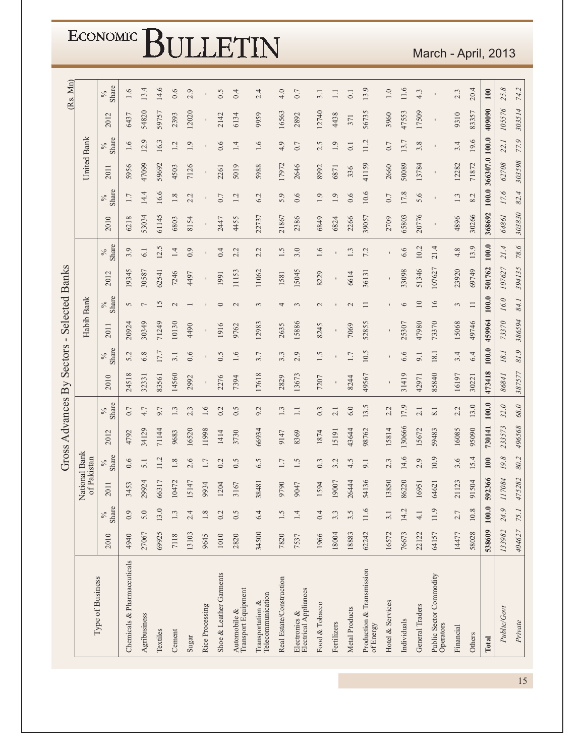|                                                             |        |               |             |                       | Gross Advances By |               |        | Sectors-      |                |                 | <b>Selected Banks</b> |               |             |                |                |                |                | (Rs. Mn)      |
|-------------------------------------------------------------|--------|---------------|-------------|-----------------------|-------------------|---------------|--------|---------------|----------------|-----------------|-----------------------|---------------|-------------|----------------|----------------|----------------|----------------|---------------|
| Type of Business                                            |        |               | Nati<br>of  | onal Bank<br>Pakistan |                   |               |        |               | Habib Bank     |                 |                       |               |             |                | United Bank    |                |                |               |
|                                                             | 2010   | Share<br>$\%$ | 2011        | Share<br>$\%$         | 2012              | Share<br>$\%$ | 2010   | Share<br>$\%$ | 2011           | Share<br>$\%$   | 2012                  | Share<br>$\%$ | 2010        | Share<br>$\%$  | 2011           | Share<br>$\%$  | 2012           | Share<br>$\%$ |
| Chemicals & Pharmaceuticals                                 | 4940   | 0.9           | S<br>345    | 0.6                   | 4792              | 0.7           | 24518  | 5.2           | 20924          | $\overline{5}$  | 19345                 | 3.9           | 6218        | 1.7            | 5956           | 1.6            | 6437           | 1.6           |
| Agribusiness                                                | 27067  | 5.0           | 29924       | 5.1                   | 34129             | 4.7           | 32331  | 6.8           | 30349          | $\overline{ }$  | 30587                 | 6.1           | 53034       | 14.4           | 47099          | 12.9           | 54820          | 13.4          |
| Textiles                                                    | 69925  | 13.0          | 66317       | 11.2                  | 71144             | 9.7           | 83561  | 17.7          | 71249          | 15              | 62541                 | 12.5          | 61145       | 16.6           | 59692          | 16.3           | 59757          | 14.6          |
| Cement                                                      | 7118   | 1.3           | 10472       | 1.8                   | 9683              | 1.3           | 14560  | 3.1           | 10130          | $\mathcal{L}$   | 7246                  | 1.4           | 6803        | $1.8\,$        | 4503           | 1.2            | 2393           | 0.6           |
| Sugar                                                       | 13103  | 2.4           | 15147       | 2.6                   | 16520             | 2.3           | 2992   | 0.6           | 4490           |                 | 4497                  | 0.9           | 8154        | 2.2            | 7126           | 1.9            | 12020          | 2.9           |
| Rice Processing                                             | 9645   | $1.8\,$       | 9934        | 1.7                   | 11998             | 1.6           |        |               |                |                 |                       |               |             | $\mathbf I$    |                |                |                |               |
| Shoe & Leather Garments                                     | 1010   | 0.2           | 1204        | 0.2                   | 1414              | 0.2           | 2276   | 0.5           | 1916           | $\circ$         | 1991                  | 0.4           | 2447        | 0.7            | 2261           | 0.6            | 2142           | 0.5           |
| Automobile &<br>Transport Equipment                         | 2820   | 0.5           | 3167        | 0.5                   | 3730              | 0.5           | 7394   | 1.6           | 9762           | $\mathbf{C}$    | 11153                 | 2.2           | 4455        | 1.2            | 5019           | 1.4            | 6134           | 0.4           |
| Telecommunication<br>Transportation $\&$                    | 34500  | 6.4           | 38481       | 6.5                   | 66934             | 9.2           | 17618  | 3.7           | 12983          | 3               | 11062                 | 2.2           | 22737       | 6.2            | 5988           | 1.6            | 9959           | 2.4           |
| Real Estate/Construction                                    | 7820   | 1.5           | 9790        | 1.7                   | 9147              | 1.3           | 2829   | 3.3           | 2635           | 4               | 1581                  | 1.5           | 21867       | 5.9            | 17972          | 4.9            | 16563          | 4.0           |
| ${\rm Electrons} \ \& \label{Lie}$<br>Electrical Appliances | 7537   | 1.4           | 9047        | 1.5                   | 8369              | $\Box$        | 13673  | 2.9           | 15886          | $\epsilon$      | 15045                 | 3.0           | 2386        | 0.6            | 2646           | $0.7$          | 2892           | $0.7\,$       |
| Food & Tobacco                                              | 1966   | 0.4           | 1594        | $0.\overline{3}$      | 1874              | 0.3           | 7207   | 1.5           | 8245           | $\mathbf{C}$    | 8229                  | 1.6           | 6849        | 1.9            | 8992           | 2.5            | 12740          | 3.1           |
| Fertilizers                                                 | 18004  | 3.3           | 19007       | 3.2                   | 5191              | 2.1           | I.     | ı             | $\blacksquare$ |                 | $\mathbf{I}$          | ı             | 6824        | 1.9            | 6871           | 1.9            | 4438           | $\Box$        |
| Metal Products                                              | 18883  | 3.5           | 26444       | 4.5                   | 43644             | 6.0           | 8244   | 1.7           | 7069           | $\mathbf{C}$    | 6614                  | 1.3           | 2266        | 0.6            | 336            | 0.1            | 371            | 0.1           |
| Production & Transmission<br>of Energy                      | 62242  | 11.6          | 54136       | 9.1                   | 98762             | 13.5          | 49567  | 10.5          | 52855          | $\Box$          | 36131                 | 7.2           | 39057       | 10.6           | 41159          | 11.2           | 56735          | 13.9          |
| Hotel & Services                                            | 16572  | 3.1           | 13850       | 2.3                   | 15814             | 2.2           |        |               |                |                 |                       |               | 2709        | 0.7            | 2660           | 0.7            | 3960           | $1.0\,$       |
| Individuals                                                 | 76673  | 14.2          | 86220       | 14.6                  | 130666            | 17.9          | 31419  | 6.6           | 25307          | $\circ$         | 33098                 | 6.6           | 65803       | 17.8           | 50089          | 13.7           | 47553          | 11.6          |
| General Traders                                             | 22122  | $\frac{1}{4}$ | 16951       | 2.9                   | 15672             | 2.1           | 42971  | 9.1           | 47980          | $\overline{10}$ | 51346                 | 10.2          | 20776       | 5.6            | 13784          | 3.8            | 17509          | 4.3           |
| Public Sector Commodity<br>Operators                        | 64157  | 11.9          | 64621       | 10.9                  | 59483             | 8.1           | 85840  | 18.1          | 73370          | 16              | 107627                | 21.4          | $\mathbf I$ | $\blacksquare$ | $\blacksquare$ | $\blacksquare$ | $\blacksquare$ | $\mathbf{I}$  |
| Financial                                                   | 14477  | 2.7           | 23<br>211   | 3.6                   | 16085             | 2.2           | 16197  | 3.4           | 15068          | 3               | 23920                 | 4.8           | 4896        | 1.3            | 12282          | 3.4            | 9310           | 2.3           |
| Others                                                      | 58028  | $10.8\,$      | 91504       | 15.4                  | 95090             | 13.0          | 30221  | 6.4           | 49746          | $\Box$          | 69749                 | 13.9          | 30266       | 8.2            | 71872          | 19.6           | 83357          | 20.4          |
| Total                                                       | 538609 | 100.0         | 592366      | 100                   | 730141            | $100.0$       | 473418 | $100.0$       | 459964         | $100.0$         | 501762                | $100.0$       | 368692      | $100.0$        | 366307.0 100.0 |                | 409090         | $100\,$       |
| Public/Govt                                                 | 133982 | 24.9          | 184<br>1170 | 19.8                  | 233573            | 32.0          | 86841  | 18.1          | 73370          | 16.0            | 107627                | 21.4          | 64861       | 17.6           | 62708          | 22.1           | 105576         | 25.8          |
| Private                                                     | 404627 | 75.1          | 475282      | 80.2                  | 496568            | 68.0          | 387577 | 81.9          | 386594         | 84.1            | 394135                | 78.6          | 303830      | 82.4           | 303598         | 77.9           | 303514         | 74.2          |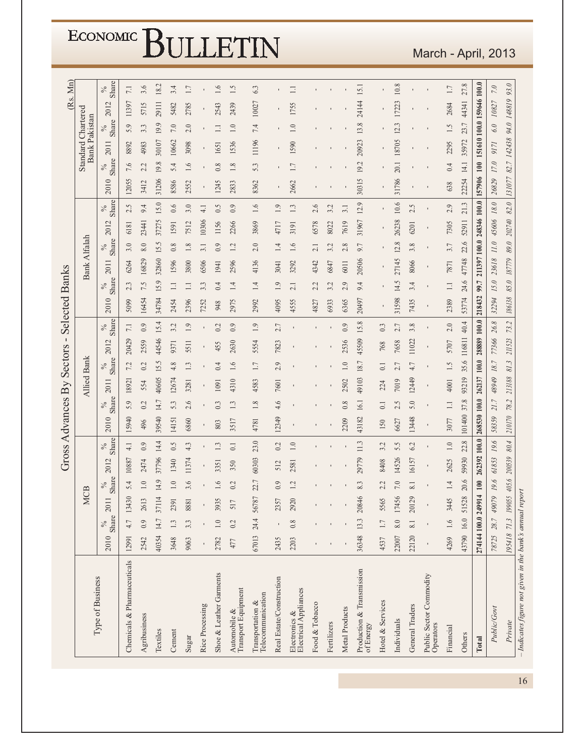| ECONOMIC BULLETIN |  |
|-------------------|--|
|-------------------|--|

|                                                                                       |            |                  |                         |                 |              |                  | Gross Advances By |                  |                    | Sectors            | $\blacksquare$ |                  | <b>Selected Banks</b> |               |              |                     |                           |                      |            |               |       |                                                   |       | (Rs. Mn)        |
|---------------------------------------------------------------------------------------|------------|------------------|-------------------------|-----------------|--------------|------------------|-------------------|------------------|--------------------|--------------------|----------------|------------------|-----------------------|---------------|--------------|---------------------|---------------------------|----------------------|------------|---------------|-------|---------------------------------------------------|-------|-----------------|
|                                                                                       |            |                  |                         | <b>MCB</b>      |              |                  |                   |                  | <b>Allied Bank</b> |                    |                |                  |                       |               | Bank Alfalah |                     |                           |                      |            |               |       | <b>Standard Chartered</b><br><b>Bank Pakistan</b> |       |                 |
| Type of Business                                                                      | 2010       | Share<br>$\%$    | $\Box$<br>20            | Share           | 2012         | Share<br>$\%$    | 2010              | Share<br>$\%$    | 2011               | Share<br>$\%$      | 2012           | Share<br>$\%$    | 2010                  | Share<br>$\%$ | 2011         | Share<br>$\%$       | 2012                      | <b>Share</b><br>$\%$ | 2010       | Share<br>$\%$ | 2011  | Share<br>$\%$                                     | 2012  | Share<br>$\%$   |
| Chemicals & Pharmaceuticals                                                           | 12991      | 4.7              | 13430                   | 5.4             | 10887        | $\frac{1}{4}$    | 15940             | 5.9              | 18921              | 7.2                | 20429          | $\overline{7.1}$ | 5099                  | 2.3           | 6264         | 3.0                 | 6181                      | 2.5                  | 12055      | 7.6           | 8892  | 5.9                                               | 11397 | $\overline{11}$ |
| Agribusiness                                                                          | 2542       | 0.9              | S<br>26                 | $1.0\,$         | 2474         | 0.9              | 496               | 0.2              | 554                | 0.2                | 2559           | 0.9              | 16454                 | 7.5           | 16829        | $8.0\,$             | 23441                     | 9.4                  | 3412       | 2.2           | 4983  | 3.3                                               | 5715  | 3.6             |
| Textiles                                                                              | 40354      | 14.7             | $\overline{4}$<br>371   | 14.9            | 37796        | 14.4             | 39540             | 14.7             | 40605              | 15.5               | 44546          | 15.4             | 34784                 | 15.9          | 32860        | 15.5                | 37275                     | 15.0                 | 31206      | 19.8          | 30107 | 19.9                                              | 29111 | 18.2            |
| Cement                                                                                | 3648       | 1.3              | 2391                    | 1.0             | 1340         | 0.5              | 14151             | 5.3              | 12674              | 4.8                | 9371           | 3.2              | 2454                  | $\Box$        | 1596         | 0.8                 | 1591                      | 0.6                  | 8586       | 5.4           | 10662 | $7.0\,$                                           | 5482  | 3.4             |
| Sugar                                                                                 | 9063       | 3.3              | 8881                    | 3.6             | 11374        | 4.3              | 6860              | 2.6              | 3281               | 1.3                | 5511           | 1.9              | 2396                  | $\Xi$         | 3800         | $1.8\,$             | 7512                      | 3.0                  | 2552       | 1.6           | 3098  | 2.0                                               | 2785  | $1.7\,$         |
| Rice Processing                                                                       |            |                  |                         |                 |              |                  |                   |                  |                    |                    |                |                  | 7252                  | 3.3           | 6506         | 3.1                 | 10306                     | $\frac{1}{4}$        |            |               |       |                                                   |       |                 |
| Shoe & Leather Garments                                                               | 2782       | $\overline{1.0}$ | 3935                    | 1.6             | 3351         | 1.3              | 803               | 0.3              | 1091               | 0.4                | 455            | 0.2              | 948                   | 0.4           | 1941         | 0.9                 | 1156                      | 0.5                  | 1245       | $0.8\,$       | 1651  |                                                   | 2543  | 1.6             |
| $\begin{array}{l} \mbox{Automobile & \bf \&\\ \mbox{Transport Equipment} \end{array}$ | 477        | 0.2              | $\overline{5}$          | 0.2             | 350          | $\overline{0}$ : | 3517              | 1.3              | 4310               | 1.6                | 2630           | 0.9              | 2975                  | 1.4           | 2596         | 12                  | 2266                      | 0.9                  | 2833       | $1.8\,$       | 1536  | $1.0\,$                                           | 2439  | 1.5             |
| Telecommunication<br>Transportation &                                                 | 67013      | 24.4             | 187<br>567              | 22.7            | 60303        | 23.0             | 4781              | 1.8              | 4583               | 1.7                | 5554           | 1.9              | 2992                  | 1.4           | 4136         | 2.0                 | 3869                      | 1.6                  | 8362       | 53            | 11196 | 7.4                                               | 10027 | 6.3             |
| Real Estate/Construction                                                              | 2435       |                  | 2357                    | 0.9             | 512          | 0.2              | 12349             | 4.6              | 7601               | 2.9                | 7823           | 2.7              | 4095                  | 1.9           | 3041         | 14                  | 4717                      | 1.9                  |            |               |       |                                                   |       |                 |
| Electrical Appliances<br>Electronics &                                                | 2203       | 0.8              | 2920                    | 1.2             | 2581         | 1.0              |                   |                  |                    |                    |                |                  | 4555                  | 2.1           | 3292         | 1.6                 | 3191                      | 1.3                  | 2662       | 1.7           | 1590  | $1.0\,$                                           | 1755  | $\Box$          |
| Food & Tobacco                                                                        |            |                  |                         |                 |              |                  |                   |                  |                    |                    |                |                  | 4827                  | 2.2           | 4342         | 2.1                 | 6578                      | 2.6                  |            |               |       |                                                   |       |                 |
| Fertilizers                                                                           |            |                  |                         |                 |              |                  |                   |                  |                    |                    |                |                  | 6933                  | 3.2           | 6847         | 3.2                 | 8022                      | 3.2                  |            |               |       |                                                   |       |                 |
| Metal Products                                                                        |            |                  |                         |                 |              |                  | 2209              | 0.8              | 2502               | $\overline{1.0}$   | 2536           | 0.9              | 6365                  | 2.9           | 6011         | 2.8                 | 7619                      | 3.1                  |            |               |       |                                                   |       |                 |
| Production & Transmission<br>of Energy                                                | 36348      | 13.3             | 20846                   | 8.3             | 29779        | 11.3             | 43182             | 16.1             | 49103              | 18.7               | 45509          | 15.8             | 20497                 | 9.4           | 20506        | 9.7                 | 31967                     | 12.9                 | 30315      | 19.2          | 20923 | 13.8                                              | 24144 | 15.1            |
| Hotel & Services                                                                      | 4537       |                  | 5565                    | L,<br>$\sim$    | 8408         | 3.2              | 150               | $\overline{0}$ . | 224                | $\overline{\circ}$ | 768            | 0.3              |                       |               |              |                     |                           |                      |            |               |       |                                                   |       |                 |
| Individuals                                                                           | 22007      | 8.0              | 156<br>174              | 7.0             | 14526        | 5.5              | 6627              | 2.5              | 7019               | 2.7                | 7658           | 2.7              | 31598                 | 14.5          | 27145        | 12.8                | 26238                     | 10.6                 | 31786      | 20.1          | 18705 | 123                                               | 17223 | 10.8            |
| General Traders                                                                       | 22120      | 8.1              | 29<br>201               | 8.1             | 16157        | 6.2              | 13448             | 5.0              | 12449              | 4.7                | 11022          | 3.8              | 7435                  | 3.4           | 8066         | 3.8                 | 6201                      | 2.5                  |            |               |       |                                                   |       |                 |
| Public Sector Commodity<br>Operators                                                  |            |                  |                         |                 |              |                  |                   |                  |                    |                    |                |                  |                       |               |              |                     |                           |                      |            |               |       |                                                   |       |                 |
| Financial                                                                             | 4269       | 1.6              | 3445                    | $\overline{14}$ | 2625         | $1.0\,$          | 3077              | $\Xi$            | 4001               | 1.5                | 5707           | 2.0              | 2389                  | $\equiv$      | 7871         | 3.7                 | 7305                      | 2.9                  | 638        | 0.4           | 2295  | 1.5                                               | 2684  | $1.7\,$         |
| Others                                                                                | 43790 16.0 |                  | 51528                   | 20.6            | 59930        | 22.8             | 101400            | 37.8             | 93219              | 35.6               | 116811         | 40.4             | 53774                 | 24.6          | 47748        | 22.6                | 52911                     | 21.3                 | 22254      | 14.1          | 35972 | 23.7                                              | 44341 | 27.8            |
| Total                                                                                 |            |                  | 274144 100.0 249914 100 |                 | 262392 100.0 |                  | 268530 100.0      |                  | 262137 100.0       |                    | 288889 100.0   |                  | 218432                | 99.7          |              |                     | 211397 100.0 248346 100.0 |                      | 157906 100 |               |       | 151610 100.0 159646 100.0                         |       |                 |
| Public/Govt                                                                           | 78725      | 28.7             | 49079                   | 19.6            | 61853        | 19.6             | 58359             | 21.7             | 48949              | $18.7\,$           | 77366          | $26.8$           | 32294                 | 15.0          | 23618        | $\it 11.0$          | 45606                     | $18.0\,$             | 26829      | $17.0\,$      | 9171  | $6.0\,$                                           | 10827 | $7.0\,$         |
| Private                                                                               |            |                  | 195418 71.3 199055      | 405.6           | 200539       | 80.4             | 210170            | 78.2             | 213188             | 81.3               | 211523         | 73.2             | 186138                | 85.0          | 187779       | $\boldsymbol{89.0}$ | 202740                    | 82.0                 | 131077     |               |       | 82.7 142438 94.0 148819                           |       | 93.0            |
| - Indicates figure not given in the bank's annual report                              |            |                  |                         |                 |              |                  |                   |                  |                    |                    |                |                  |                       |               |              |                     |                           |                      |            |               |       |                                                   |       |                 |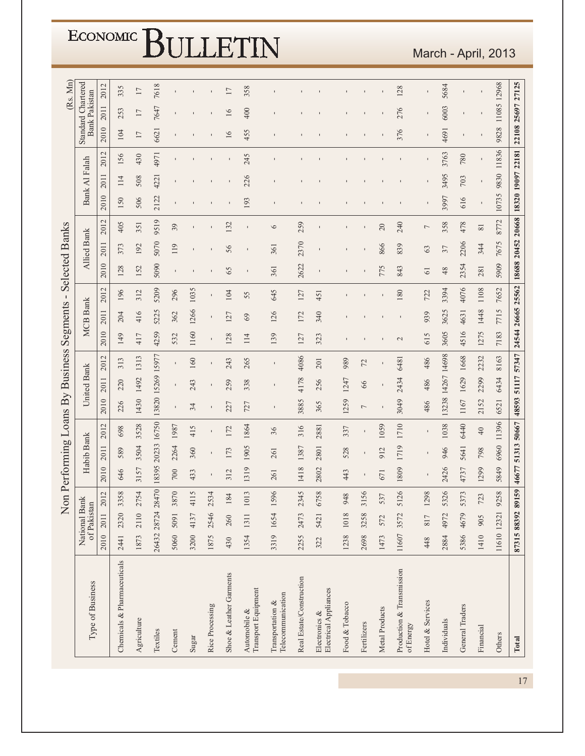|                                          |       |                              |           |      |                  |                   |                |                   | Non Performing Loans By Business |              | Segments        | $\blacksquare$ | <b>Selected Banks</b> |                    |          |                   |                |       |      |                                                   | (Rs. Mn) |
|------------------------------------------|-------|------------------------------|-----------|------|------------------|-------------------|----------------|-------------------|----------------------------------|--------------|-----------------|----------------|-----------------------|--------------------|----------|-------------------|----------------|-------|------|---------------------------------------------------|----------|
| Type of Business                         |       | National Bank<br>of Pakistan |           |      | Habib Bank       |                   |                | United Bank       |                                  |              | <b>MCB</b> Bank |                |                       | <b>Allied Bank</b> |          |                   | Bank Al Falah  |       |      | <b>Standard Chartered</b><br><b>Bank Pakistan</b> |          |
|                                          | 2010  | 2011                         | 2012      | 2010 | 2011             | 2012              | 2010           | 2011              | 2012                             | 2010         | 2011            | 2012           | 2010                  | 2011               | 2012     | 2010              | 2011           | 2012  | 2010 | 2011                                              | 2012     |
| Chemicals & Pharmaceuticals              | 2441  | 2320                         | 3358      | 646  | 589              | 698               | 226            | 220               | 313                              | 149          | 204             | 196            | 128                   | 373                | 405      | 150               | 114            | 156   | 104  | 253                                               | 335      |
| Agriculture                              | 1873  |                              | 2110 2754 | 3157 | 3504             | 3528              | 1430           | 1492              | 1313                             | 417          | 416             | 312            | 152                   | 192                | 351      | 506               | 508            | 430   | 17   | 17                                                | $17\,$   |
| Textiles                                 |       | 26432 28724 28470            |           |      | 8395 20233 16750 |                   |                | 13820 15269 15977 |                                  | 4259         | 5225            | 5209           | 5090                  | 5070               | 9519     | 2122              | 4221           | 4971  | 6621 | 7647                                              | 7618     |
| Cement                                   | 5060  | 5091                         | 3870      | 700  | 2264             | 1987              | $\mathbf I$    | $\mathbf I$       | $\blacksquare$                   | 532          | 362             | 296            | $\blacksquare$        | 119                | 39       |                   |                |       |      |                                                   |          |
| Sugar                                    | 3200  | 4137                         | 4115      | 433  | 360              | 415               | 34             | 243               | 160                              | 1160         | 1266            | 1035           |                       |                    |          |                   |                |       |      |                                                   |          |
| Rice Processing                          | 1875  | 2546                         | 2534      |      | $\mathbf I$      | $\blacksquare$    | $\mathbf I$    | $\mathbf I$       |                                  |              | $\blacksquare$  |                |                       |                    |          |                   |                |       |      |                                                   |          |
| Shoe & Leather Garments                  | 430   | 260                          | 184       | 312  | 173              | 172               | 227            | 259               | 243                              | 128          | 127             | 104            | 65                    | 56                 | 132      |                   |                |       | 16   | $\overline{16}$                                   | 17       |
| Transport Equipment<br>Automobile &      | 1354  |                              | 1311 1013 | 1319 | 1905             | 1864              | 727            | 338               | 265                              | 114          | 69              | 55             | $\blacksquare$        | $\blacksquare$     |          | 193               | 226            | 245   | 455  | 400                                               | 358      |
| Telecommunication<br>Transportation $\&$ | 3319  | 1654 1596                    |           | 261  | 261              | 36                | $\blacksquare$ |                   |                                  | 139          | 126             | 645            | 361                   | 361                | $\circ$  |                   |                |       |      |                                                   |          |
| Real Estate/Construction                 | 2255  | 2473                         | 2345      | 1418 | 1387             | 316               | 3885           | 4178              | 4086                             | 127          | 172             | 127            | 2622                  | 2370               | 259      |                   |                |       |      |                                                   |          |
| Electrical Appliances<br>Electronics &   | 322   | 5421                         | 6758      | 2802 | 2801             | 2881              | 365            | 256               | 201                              | 323          | 340             | 451            |                       |                    |          |                   |                |       |      |                                                   |          |
| Food & Tobacco                           | 1238  | 1018                         | 948       | 443  | 528              | 337               | 1259           | 1247              | 989                              |              |                 |                |                       |                    |          |                   |                |       |      |                                                   |          |
| Fertilizers                              | 2698  | 3258                         | 3156      |      |                  | $\mathbf I$       | Γ              | 66                | 72                               |              |                 |                |                       |                    |          |                   |                |       |      |                                                   |          |
| Metal Products                           | 1473  | 572                          | 537       | 671  | 912              | 1059              |                |                   |                                  |              |                 |                | 775                   | 866                | 20       |                   |                |       |      |                                                   |          |
| Production & Transmission<br>of Energy   | 11607 | 3572                         | 5126      | 1809 | 1719             | 1710              | 3049           | 2434              | 6481                             | $\mathbf{C}$ |                 | 180            | 843                   | 839                | 240      |                   |                |       | 376  | 276                                               | 128      |
| Hotel & Services                         | 448   | 817                          | 1298      |      |                  |                   | 486            | 486               | 486                              | 615          | 939             | 722            | $\overline{6}$        | 63                 | 7        |                   |                |       |      |                                                   |          |
| Individuals                              | 2884  | 4972                         | 5326      | 2426 | 946              | 1038              | 13238          | 14267             | 14698                            | 3605         | 3625            | 3394           | 48                    | 37                 | 358      | 3997              | 3495           | 3763  | 4691 | 6003                                              | 5684     |
| General Traders                          | 5386  | 4679                         | 5373      | 4737 | 5641             | 6440              | 1167           | 1629              | 1668                             | 4516         | 4631            | 4076           | 2354                  | 2206               | 478      | 616               | 703            | 780   |      |                                                   |          |
| Financial                                | 1410  | 905                          | 723       | 1299 | 798              | 40                | 2152           | 2299              | 2232                             | 1275         | 1448            | 1108           | 281                   | 344                | $\rm 81$ |                   | $\blacksquare$ |       |      |                                                   |          |
| Others                                   |       | 11610 12321 9258             |           | 5849 | 6960             | 11396             | 6521           | 6434              | 8163                             | 7183         | 7715            | 7652           | 5909                  | 7675               | 8772     | 10735             | 9830           | 11836 | 9828 | 11085 12968                                       |          |
| Total                                    |       | 87315 88392 89159            |           |      |                  | 46677 51313 50667 | 48593          |                   | 51117 57347 24544 26665 25562    |              |                 |                | 18688 20452 20668     |                    |          | 18320 19097 22181 |                |       |      | 22108 25697 27125                                 |          |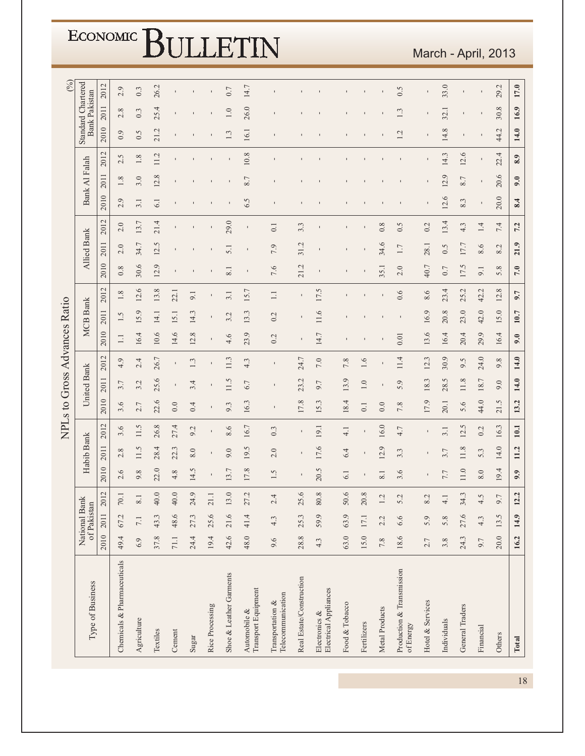| (° <sub>0</sub> )            |                                            |                     |                              |                               |                 |                |       |                 |                         |                                     |                                       |                          |                                        |                |             |                  |                                        |                  |                 |                 |                     |                 |       |
|------------------------------|--------------------------------------------|---------------------|------------------------------|-------------------------------|-----------------|----------------|-------|-----------------|-------------------------|-------------------------------------|---------------------------------------|--------------------------|----------------------------------------|----------------|-------------|------------------|----------------------------------------|------------------|-----------------|-----------------|---------------------|-----------------|-------|
|                              | Standard Chartered<br><b>Bank Pakistan</b> | 2012                | 2.9                          | 0.3                           | 26.2            |                |       |                 | 0.7                     | 14.7                                |                                       |                          |                                        |                |             |                  | 0.5                                    |                  | 33.0            |                 |                     | 29.2            | 17.0  |
|                              |                                            | 2011                | 2.8                          | 0.3                           | 25.4            |                |       |                 | 1.0                     | 26.0                                |                                       |                          |                                        |                |             |                  | ن.                                     |                  | 32.             |                 |                     | 30.8            | 16.9  |
|                              |                                            | 2010                | 0.9                          | 0.5                           | 21.2            |                |       |                 | Ċ,                      | 16.1                                |                                       |                          |                                        |                |             |                  | L,                                     |                  | 14.8            |                 | $\blacksquare$      | 44.2            | 14.0  |
|                              |                                            | $\mathbf{C}$<br>201 | 2.5                          | $1.8\,$                       | 11.2            |                |       |                 | ı                       | 10.8                                |                                       |                          |                                        |                |             |                  |                                        |                  | 14.3            | 12.6            | $\blacksquare$      | 4<br>22.        | 8.9   |
|                              | Bank Al Falah                              | 2011                | 1.8                          | 3.0                           | 12.8            |                |       |                 |                         | 8.7                                 |                                       |                          |                                        |                |             |                  |                                        |                  | $\Theta$<br>12. | 8.7             | $\mathbf I$         | 20.6            | 9.0   |
|                              |                                            | 2010                | 0<br>$\sim$                  | 3.1                           | 6.1             |                |       |                 |                         | 6.5                                 |                                       |                          |                                        |                |             |                  |                                        |                  | 12.6            | 8.3             | $\mathbf I$         | 20.0            | 8.4   |
|                              |                                            | 2012                | 2.0                          | 13.7                          | 21.4            |                |       |                 | 29.0                    |                                     | $\overline{0}$ .                      | 3.3                      |                                        |                |             | 0.8              | 0.5                                    | 0.2              | 13.4            | 4.3             | 1.4                 | 7.4             | 7.2   |
|                              | Allied Bank                                | 2011                | $\circ$<br>$\overline{\sim}$ | 34.7                          | $\sigma$<br>12. |                |       |                 | 5.1                     | 1                                   | 7.9                                   | 31.2                     |                                        |                |             | 34.6             | 1.7                                    | 28.1             | 0.5             | 17.7            | 8.6                 | 8.2             | 21.9  |
|                              |                                            | 2010                | 0.8                          | 30.6                          | 12.9            |                |       |                 | 8.1                     | 1                                   | 7.6                                   | 21.2                     |                                        |                |             | 35.1             | 2.0                                    | 40.7             | 0.7             | 17.5            | 9.1                 | 5.8             | 7.0   |
|                              |                                            | 2012                | œ.<br>$\overline{ }$         | 12.6                          | 13.8            | 22.1           | 9.1   |                 | 3.1                     | 15.7                                | $\Box$                                | $\blacksquare$           | 17.5                                   |                |             |                  | 0.6                                    | 8.6              | 23.4            | 25.2            | $\mathbf{C}$<br>42. | $\infty$<br>12. | 9.7   |
|                              | <b>MCB</b> Bank                            | 2011                | Ċ.                           | 15.9                          | 14.1            | 15.1           | 14.3  | $\mathbf I$     | L,<br>3                 | $\tilde{\xi}$<br>13.                | 0.2                                   |                          | 11.6                                   |                |             |                  |                                        | 16.9             | 20.8            | 23.0            | 42.0                | 15.0            | 10.7  |
|                              |                                            | 2010                | $\Box$                       | 16.4                          | 10.6            | 14.6           | 12.8  |                 | 4.6                     | 23.9                                | 0.2                                   |                          | 14.7                                   |                |             |                  | 0.01                                   | 13.6             | 16.4            | 20.4            | $\circ$<br>29.      | 16.4            | 9.0   |
| NPLs to Gross Advances Ratio |                                            | 2012                | 4.9                          | 2.4                           | 26.7            |                | 1.3   |                 | 11.3                    | 4.3                                 | $\mathbf{I}$                          | 24.7                     | 7.0                                    | 7.8            | 1.6         |                  | 11.4                                   | 12.3             | 30.9            | 9.5             | 24.0                | 9.8             | 14.0  |
|                              | United Bank                                | 2011                | 3.7                          | 3.2                           | 25.6            |                | 3.4   |                 | 11.5                    | 6.7                                 | $\mathbf{I}$                          | 23.2                     | 9.7                                    | 13.9           | 1.0         |                  | 5.9                                    | 18.3             | 28.5            | 11.8            | 18.7                | 9.0             | 14.0  |
|                              |                                            | 2010                | 3.6                          | 7<br>$\overline{\mathcal{C}}$ | 22.6            | 0.0            | 0.4   |                 | $\tilde{\epsilon}$<br>ö | 16.3                                | $\pmb{\mathsf{I}}$                    | 17.8                     | 15.3                                   | 18.4           | 0.1         | 0.0              | 7.8                                    | 17.9             | 20.1            | 5.6             | 44.0                | Ċ.<br>21.       | 13.2  |
|                              |                                            | 2012                | 3.6                          | 11.5                          | 26.8            | 27.4           | 9.2   |                 | 8.6                     | 16.7                                | 0.3                                   | $\blacksquare$           | 19.1                                   | 4.1            |             | 16.0             | 4.7                                    |                  | 3.1             | Ċ.<br>12.       | 0.2                 | 16.3            | 10.1  |
|                              | Habib Bank                                 | 2011                | $\infty$<br>$\sim$           | 11.5                          | 28.4            | J.<br>22.      | 8.0   |                 | 9.0                     | ιÓ.<br>19.                          | 2.0                                   |                          | 17.6                                   | 6.4            |             | 12.9             | 3.3                                    |                  | 3.7             | 11.8            | 5.3                 | 14.0            | 11.2  |
|                              |                                            | 2010                | 6<br>$\sim$                  | $\infty$<br>Ò,                | 22.0            | $\infty$<br>4. | 14.5  |                 | 3.7                     | 17.8                                | 1.5                                   |                          | 20.5                                   | 6.1            |             | $\overline{8.1}$ | $\circ$<br>3                           |                  | 7.7             | 11.0            | 8.0                 | 19.4            | 9.9   |
|                              |                                            | 2012                | $70.1\,$                     | $8.1\,$                       | 40.0            | 40.0           | 24.9  | 21.1            | 13.0                    | 27.2                                | 2.4                                   | 25.6                     | 80.8                                   | 50.6           | 20.8        | 1.2              | 5.2                                    | 8.2              | 4.1             | 34.3            | 4.5                 | 9.7             | 12.2  |
|                              | National Bank<br>of Pakistan               | 2011                | 67.2                         | 7.1                           | 43.3            | 48.6           | 27.3  | 25.6            | 21.6                    | 41.4                                | 4.3                                   | 25.3                     | 59.9                                   | 63.9           | 17.1        | 2.2              | 6.6                                    | 5.9              | 5.8             | 27.6            | 4.3                 | 13.5            | 14.9  |
|                              |                                            | 2010                | 49.4                         | 6.9                           | 37.8            | 71.1           | 24.4  | 19.4            | 42.6                    | 48.0                                | 9.6                                   | 28.8                     | 4.3                                    | 63.0           | 15.0        | $7.8\,$          | 18.6                                   | 2.7              | 3.8             | 24.3            | 9.7                 | 20.0            | 16.2  |
|                              |                                            |                     |                              |                               |                 |                |       |                 |                         |                                     |                                       |                          |                                        |                |             |                  |                                        |                  |                 |                 |                     |                 |       |
|                              | Type of Business                           |                     | Chemicals & Pharmaceuticals  | Agriculture                   | Textiles        | Cement         | Sugar | Rice Processing | Shoe & Leather Garments | Transport Equipment<br>Automobile & | Telecommunication<br>Transportation & | Real Estate/Construction | Electrical Appliances<br>Electronics & | Food & Tobacco | Fertilizers | Metal Products   | Production & Transmission<br>of Energy | Hotel & Services | Individuals     | General Traders | Financial           | Others          | Total |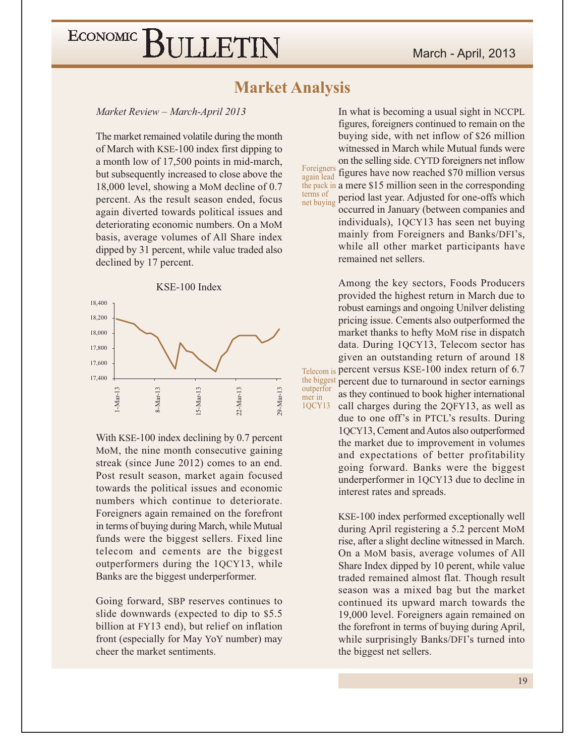### **Market Analysis**

Market Review - March-April 2013

The market remained volatile during the month of March with KSE-100 index first dipping to a month low of 17,500 points in mid-march, but subsequently increased to close above the 18,000 level, showing a MoM decline of 0.7 percent. As the result season ended, focus again diverted towards political issues and deteriorating economic numbers. On a MoM basis, average volumes of All Share index dipped by 31 percent, while value traded also declined by 17 percent.



With KSE-100 index declining by 0.7 percent MoM, the nine month consecutive gaining streak (since June 2012) comes to an end. Post result season, market again focused towards the political issues and economic numbers which continue to deteriorate. Foreigners again remained on the forefront in terms of buying during March, while Mutual funds were the biggest sellers. Fixed line telecom and cements are the biggest outperformers during the 1QCY13, while Banks are the biggest underperformer.

Going forward, SBP reserves continues to slide downwards (expected to dip to \$5.5) billion at FY13 end), but relief on inflation front (especially for May YoY number) may cheer the market sentiments.

In what is becoming a usual sight in NCCPL figures, foreigners continued to remain on the buying side, with net inflow of \$26 million witnessed in March while Mutual funds were on the selling side. CYTD foreigners net inflow Foreigners figures have now reached \$70 million versus again lead the pack in a mere \$15 million seen in the corresponding terms of period last year. Adjusted for one-offs which net buying occurred in January (between companies and

individuals), 1QCY13 has seen net buying mainly from Foreigners and Banks/DFI's, while all other market participants have remained net sellers.

Among the key sectors, Foods Producers provided the highest return in March due to robust earnings and ongoing Unilver delisting pricing issue. Cements also outperformed the market thanks to hefty MoM rise in dispatch data. During 1QCY13, Telecom sector has given an outstanding return of around 18 Telecom is percent versus KSE-100 index return of 6.7 the biggest percent due to turnaround in sector earnings as they continued to book higher international

call charges during the 2QFY13, as well as due to one off's in PTCL's results. During 1QCY13, Cement and Autos also outperformed the market due to improvement in volumes and expectations of better profitability going forward. Banks were the biggest underperformer in 1QCY13 due to decline in interest rates and spreads.

KSE-100 index performed exceptionally well during April registering a 5.2 percent MoM rise, after a slight decline witnessed in March. On a MoM basis, average volumes of All Share Index dipped by 10 perent, while value traded remained almost flat. Though result season was a mixed bag but the market continued its upward march towards the 19,000 level. Foreigners again remained on the forefront in terms of buying during April, while surprisingly Banks/DFI's turned into the biggest net sellers.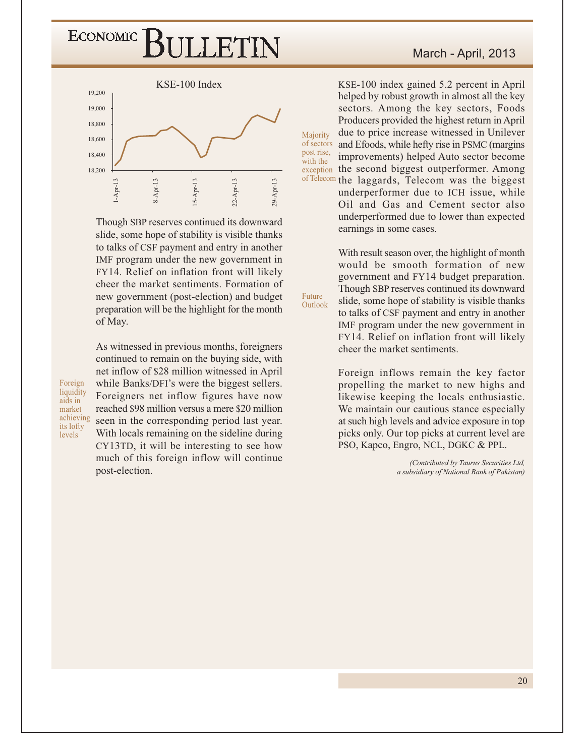

Though SBP reserves continued its downward slide, some hope of stability is visible thanks to talks of CSF payment and entry in another IMF program under the new government in FY14. Relief on inflation front will likely cheer the market sentiments. Formation of new government (post-election) and budget preparation will be the highlight for the month of May.

Foreign liquidity aids in market achieving its lofty levels

continued to remain on the buying side, with net inflow of \$28 million witnessed in April while Banks/DFI's were the biggest sellers. Foreigners net inflow figures have now reached \$98 million versus a mere \$20 million seen in the corresponding period last year. With locals remaining on the sideline during CY13TD, it will be interesting to see how much of this foreign inflow will continue post-election.

As witnessed in previous months, foreigners

KSE-100 index gained 5.2 percent in April helped by robust growth in almost all the key sectors. Among the key sectors, Foods Producers provided the highest return in April due to price increase witnessed in Unilever Majority of sectors and Efoods, while hefty rise in PSMC (margins post rise, improvements) helped Auto sector become with the exception the second biggest outperformer. Among of Telecom the laggards, Telecom was the biggest

underperformer due to ICH issue, while Oil and Gas and Cement sector also underperformed due to lower than expected earnings in some cases.

With result season over, the highlight of month would be smooth formation of new government and FY14 budget preparation. Though SBP reserves continued its downward slide, some hope of stability is visible thanks to talks of CSF payment and entry in another IMF program under the new government in FY14. Relief on inflation front will likely cheer the market sentiments.

Future

Outlook

Foreign inflows remain the key factor propelling the market to new highs and likewise keeping the locals enthusiastic. We maintain our cautious stance especially at such high levels and advice exposure in top picks only. Our top picks at current level are PSO, Kapco, Engro, NCL, DGKC & PPL.

> (Contributed by Taurus Securities Ltd, a subsidiary of National Bank of Pakistan)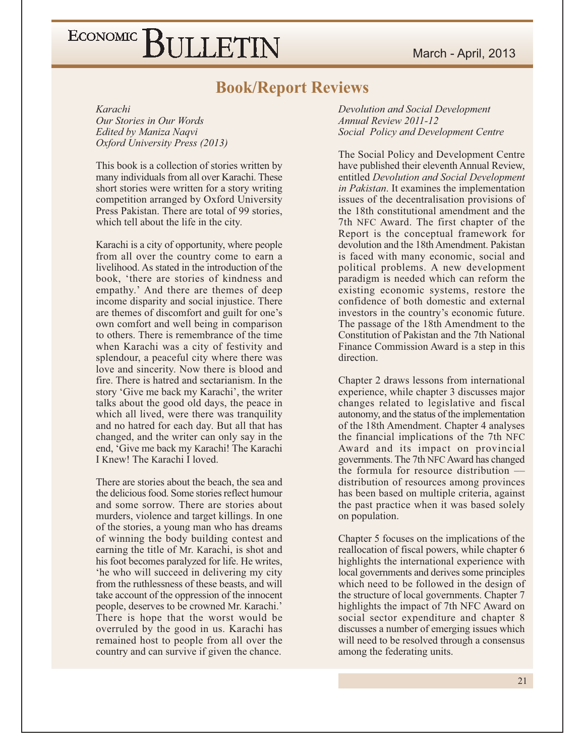### **Book/Report Reviews**

Karachi

Our Stories in Our Words Edited by Maniza Naqvi Oxford University Press (2013)

This book is a collection of stories written by many individuals from all over Karachi. These short stories were written for a story writing competition arranged by Oxford University Press Pakistan. There are total of 99 stories, which tell about the life in the city.

Karachi is a city of opportunity, where people from all over the country come to earn a livelihood. As stated in the introduction of the book, 'there are stories of kindness and empathy.' And there are themes of deep income disparity and social injustice. There are themes of discomfort and guilt for one's own comfort and well being in comparison to others. There is remembrance of the time when Karachi was a city of festivity and splendour, a peaceful city where there was love and sincerity. Now there is blood and fire. There is hatred and sectarianism. In the story 'Give me back my Karachi', the writer talks about the good old days, the peace in which all lived, were there was tranquility and no hatred for each day. But all that has changed, and the writer can only say in the end, 'Give me back my Karachi! The Karachi I Knew! The Karachi I loved.

There are stories about the beach, the sea and the delicious food. Some stories reflect humour and some sorrow. There are stories about murders, violence and target killings. In one of the stories, a young man who has dreams of winning the body building contest and earning the title of Mr. Karachi, is shot and his foot becomes paralyzed for life. He writes, 'he who will succeed in delivering my city from the ruthlessness of these beasts, and will take account of the oppression of the innocent people, deserves to be crowned Mr. Karachi.' There is hope that the worst would be overruled by the good in us. Karachi has remained host to people from all over the country and can survive if given the chance.

Devolution and Social Development **Annual Review 2011-12** Social Policy and Development Centre

The Social Policy and Development Centre have published their eleventh Annual Review. entitled Devolution and Social Development in Pakistan. It examines the implementation issues of the decentralisation provisions of the 18th constitutional amendment and the 7th NFC Award. The first chapter of the Report is the conceptual framework for devolution and the 18th Amendment. Pakistan is faced with many economic, social and political problems. A new development paradigm is needed which can reform the existing economic systems, restore the confidence of both domestic and external investors in the country's economic future. The passage of the 18th Amendment to the Constitution of Pakistan and the 7th National Finance Commission Award is a step in this direction.

Chapter 2 draws lessons from international experience, while chapter 3 discusses major changes related to legislative and fiscal autonomy, and the status of the implementation of the 18th Amendment. Chapter 4 analyses the financial implications of the 7th NFC Award and its impact on provincial governments. The 7th NFC Award has changed the formula for resource distribution distribution of resources among provinces has been based on multiple criteria, against the past practice when it was based solely on population.

Chapter 5 focuses on the implications of the reallocation of fiscal powers, while chapter 6 highlights the international experience with local governments and derives some principles which need to be followed in the design of the structure of local governments. Chapter 7 highlights the impact of 7th NFC Award on social sector expenditure and chapter 8 discusses a number of emerging issues which will need to be resolved through a consensus among the federating units.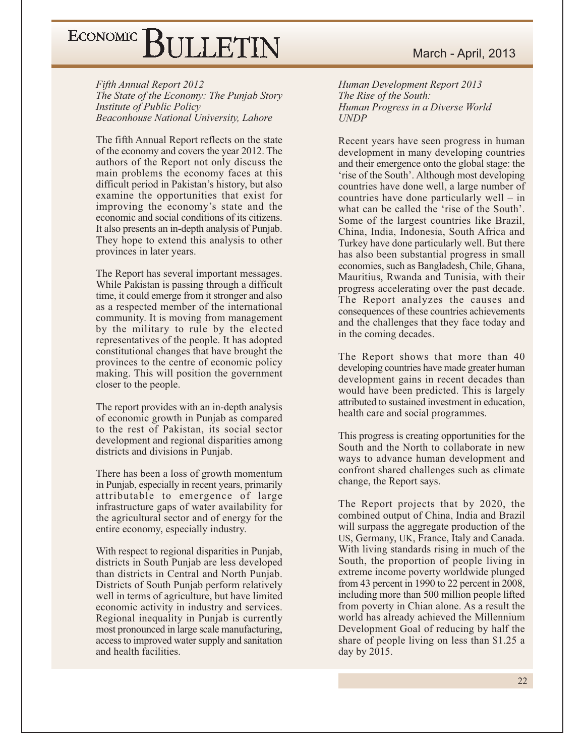Fifth Annual Report 2012 The State of the Economy: The Punjab Story **Institute of Public Policy** Beaconhouse National University, Lahore

The fifth Annual Report reflects on the state of the economy and covers the year 2012. The authors of the Report not only discuss the main problems the economy faces at this difficult period in Pakistan's history, but also examine the opportunities that exist for improving the economy's state and the economic and social conditions of its citizens. It also presents an in-depth analysis of Punjab. They hope to extend this analysis to other provinces in later years.

The Report has several important messages. While Pakistan is passing through a difficult time, it could emerge from it stronger and also as a respected member of the international community. It is moving from management by the military to rule by the elected representatives of the people. It has adopted constitutional changes that have brought the provinces to the centre of economic policy making. This will position the government closer to the people.

The report provides with an in-depth analysis of economic growth in Punjab as compared to the rest of Pakistan, its social sector development and regional disparities among districts and divisions in Punjab.

There has been a loss of growth momentum in Punjab, especially in recent years, primarily attributable to emergence of large infrastructure gaps of water availability for the agricultural sector and of energy for the entire economy, especially industry.

With respect to regional disparities in Punjab, districts in South Punjab are less developed than districts in Central and North Punjab. Districts of South Punjab perform relatively well in terms of agriculture, but have limited economic activity in industry and services. Regional inequality in Punjab is currently most pronounced in large scale manufacturing, access to improved water supply and sanitation and health facilities.

Human Development Report 2013 The Rise of the South: Human Progress in a Diverse World **UNDP** 

Recent years have seen progress in human development in many developing countries and their emergence onto the global stage: the 'rise of the South'. Although most developing countries have done well, a large number of countries have done particularly well  $-$  in what can be called the 'rise of the South'. Some of the largest countries like Brazil, China, India, Indonesia, South Africa and Turkey have done particularly well. But there has also been substantial progress in small economies, such as Bangladesh, Chile, Ghana, Mauritius, Rwanda and Tunisia, with their progress accelerating over the past decade. The Report analyzes the causes and consequences of these countries achievements and the challenges that they face today and in the coming decades.

The Report shows that more than 40 developing countries have made greater human development gains in recent decades than would have been predicted. This is largely attributed to sustained investment in education, health care and social programmes.

This progress is creating opportunities for the South and the North to collaborate in new ways to advance human development and confront shared challenges such as climate change, the Report says.

The Report projects that by 2020, the combined output of China, India and Brazil will surpass the aggregate production of the US, Germany, UK, France, Italy and Canada. With living standards rising in much of the South, the proportion of people living in extreme income poverty worldwide plunged from 43 percent in 1990 to 22 percent in 2008, including more than 500 million people lifted from poverty in Chian alone. As a result the world has already achieved the Millennium Development Goal of reducing by half the share of people living on less than \$1.25 a day by 2015.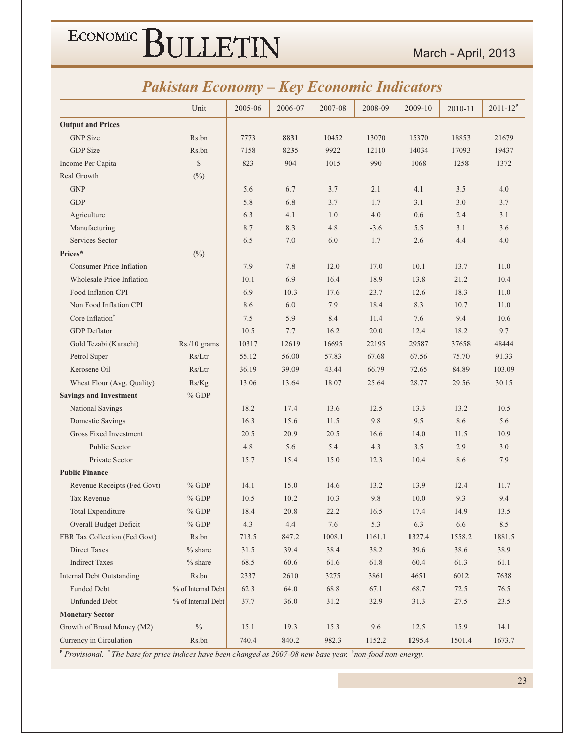### **Pakistan Economy - Key Economic Indicators**

|                                  | Unit               | 2005-06 | 2006-07 | 2007-08 | 2008-09 | 2009-10 | 2010-11 | $2011 - 12^{P}$ |
|----------------------------------|--------------------|---------|---------|---------|---------|---------|---------|-----------------|
| <b>Output and Prices</b>         |                    |         |         |         |         |         |         |                 |
| <b>GNP</b> Size                  | Rs.bn              | 7773    | 8831    | 10452   | 13070   | 15370   | 18853   | 21679           |
| <b>GDP</b> Size                  | Rs.bn              | 7158    | 8235    | 9922    | 12110   | 14034   | 17093   | 19437           |
| Income Per Capita                | $\mathbb{S}$       | 823     | 904     | 1015    | 990     | 1068    | 1258    | 1372            |
| Real Growth                      | $(\%)$             |         |         |         |         |         |         |                 |
| <b>GNP</b>                       |                    | 5.6     | 6.7     | 3.7     | 2.1     | 4.1     | 3.5     | 4.0             |
| <b>GDP</b>                       |                    | 5.8     | 6.8     | 3.7     | 1.7     | 3.1     | 3.0     | 3.7             |
| Agriculture                      |                    | 6.3     | 4.1     | 1.0     | 4.0     | 0.6     | 2.4     | 3.1             |
| Manufacturing                    |                    | 8.7     | 8.3     | 4.8     | $-3.6$  | 5.5     | 3.1     | 3.6             |
| Services Sector                  |                    | 6.5     | 7.0     | 6.0     | 1.7     | 2.6     | 4.4     | 4.0             |
| Prices*                          | $(\%)$             |         |         |         |         |         |         |                 |
| <b>Consumer Price Inflation</b>  |                    | 7.9     | 7.8     | 12.0    | 17.0    | 10.1    | 13.7    | 11.0            |
| <b>Wholesale Price Inflation</b> |                    | 10.1    | 6.9     | 16.4    | 18.9    | 13.8    | 21.2    | 10.4            |
| Food Inflation CPI               |                    | 6.9     | 10.3    | 17.6    | 23.7    | 12.6    | 18.3    | 11.0            |
| Non Food Inflation CPI           |                    | 8.6     | 6.0     | 7.9     | 18.4    | 8.3     | 10.7    | 11.0            |
| Core Inflation <sup>†</sup>      |                    | 7.5     | 5.9     | 8.4     | 11.4    | 7.6     | 9.4     | 10.6            |
| <b>GDP</b> Deflator              |                    | 10.5    | 7.7     | 16.2    | 20.0    | 12.4    | 18.2    | 9.7             |
| Gold Tezabi (Karachi)            | Rs./10 grams       | 10317   | 12619   | 16695   | 22195   | 29587   | 37658   | 48444           |
| Petrol Super                     | Rs/Ltr             | 55.12   | 56.00   | 57.83   | 67.68   | 67.56   | 75.70   | 91.33           |
| Kerosene Oil                     | Rs/Ltr             | 36.19   | 39.09   | 43.44   | 66.79   | 72.65   | 84.89   | 103.09          |
| Wheat Flour (Avg. Quality)       | Rs/Kg              | 13.06   | 13.64   | 18.07   | 25.64   | 28.77   | 29.56   | 30.15           |
| <b>Savings and Investment</b>    | $%$ GDP            |         |         |         |         |         |         |                 |
| National Savings                 |                    | 18.2    | 17.4    | 13.6    | 12.5    | 13.3    | 13.2    | 10.5            |
| Domestic Savings                 |                    | 16.3    | 15.6    | 11.5    | 9.8     | 9.5     | 8.6     | 5.6             |
| Gross Fixed Investment           |                    | 20.5    | 20.9    | 20.5    | 16.6    | 14.0    | 11.5    | 10.9            |
| Public Sector                    |                    | 4.8     | 5.6     | 5.4     | 4.3     | 3.5     | 2.9     | 3.0             |
| Private Sector                   |                    | 15.7    | 15.4    | 15.0    | 12.3    | 10.4    | 8.6     | 7.9             |
| <b>Public Finance</b>            |                    |         |         |         |         |         |         |                 |
| Revenue Receipts (Fed Govt)      | $%$ GDP            | 14.1    | 15.0    | 14.6    | 13.2    | 13.9    | 12.4    | 11.7            |
| Tax Revenue                      | $%$ GDP            | 10.5    | 10.2    | 10.3    | 9.8     | 10.0    | 9.3     | 9.4             |
| Total Expenditure                | $%$ GDP            | 18.4    | 20.8    | 22.2    | 16.5    | 17.4    | 14.9    | 13.5            |
| Overall Budget Deficit           | $\%$ GDP           | 4.3     | 4.4     | $7.6\,$ | 5.3     | 6.3     | $6.6\,$ | $8.5\,$         |
| FBR Tax Collection (Fed Govt)    | Rs.bn              | 713.5   | 847.2   | 1008.1  | 1161.1  | 1327.4  | 1558.2  | 1881.5          |
| <b>Direct Taxes</b>              | $%$ share          | 31.5    | 39.4    | 38.4    | 38.2    | 39.6    | 38.6    | 38.9            |
| <b>Indirect Taxes</b>            | $%$ share          | 68.5    | 60.6    | 61.6    | 61.8    | 60.4    | 61.3    | 61.1            |
| <b>Internal Debt Outstanding</b> | Rs.bn              | 2337    | 2610    | 3275    | 3861    | 4651    | 6012    | 7638            |
| Funded Debt                      | % of Internal Debt | 62.3    | 64.0    | 68.8    | 67.1    | 68.7    | 72.5    | 76.5            |
| <b>Unfunded Debt</b>             | % of Internal Debt | 37.7    | 36.0    | 31.2    | 32.9    | 31.3    | 27.5    | 23.5            |
| <b>Monetary Sector</b>           |                    |         |         |         |         |         |         |                 |
| Growth of Broad Money (M2)       | $\%$               | 15.1    | 19.3    | 15.3    | 9.6     | 12.5    | 15.9    | 14.1            |
| Currency in Circulation          | Rs.bn              | 740.4   | 840.2   | 982.3   | 1152.2  | 1295.4  | 1501.4  | 1673.7          |

<sup>P</sup> Provisional. <sup>\*</sup> The base for price indices have been changed as 2007-08 new base year. <sup>†</sup>non-food non-energy.